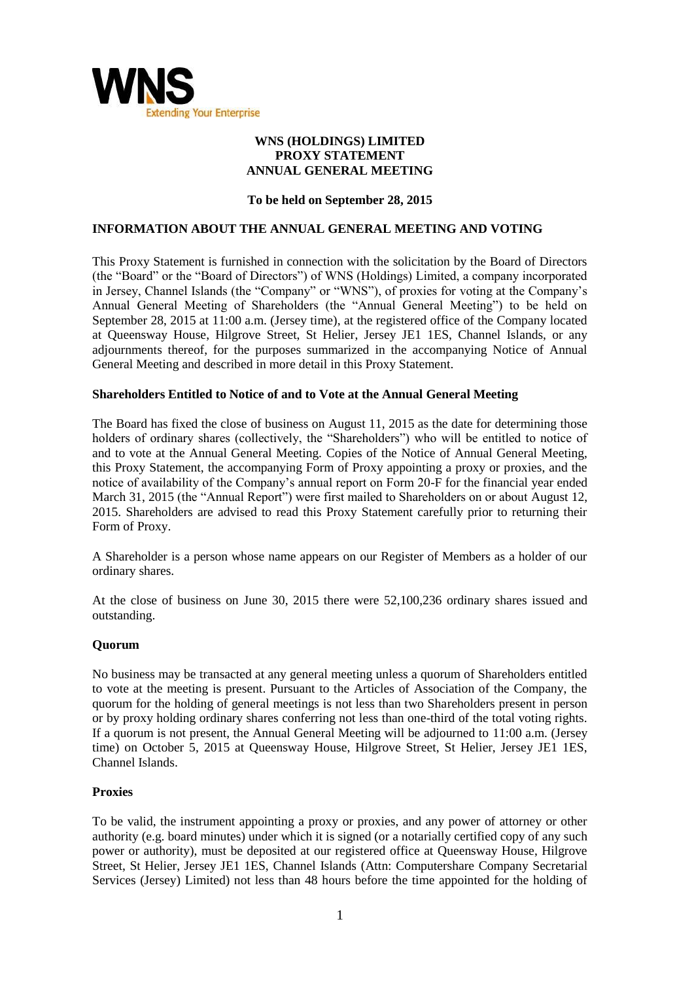

### **WNS (HOLDINGS) LIMITED PROXY STATEMENT ANNUAL GENERAL MEETING**

## **To be held on September 28, 2015**

#### **INFORMATION ABOUT THE ANNUAL GENERAL MEETING AND VOTING**

This Proxy Statement is furnished in connection with the solicitation by the Board of Directors (the "Board" or the "Board of Directors") of WNS (Holdings) Limited, a company incorporated in Jersey. Channel Islands (the "Company" or "WNS"), of proxies for voting at the Company's Annual General Meeting of Shareholders (the "Annual General Meeting") to be held on September 28, 2015 at 11:00 a.m. (Jersey time), at the registered office of the Company located at Queensway House, Hilgrove Street, St Helier, Jersey JE1 1ES, Channel Islands, or any adjournments thereof, for the purposes summarized in the accompanying Notice of Annual General Meeting and described in more detail in this Proxy Statement.

#### **Shareholders Entitled to Notice of and to Vote at the Annual General Meeting**

The Board has fixed the close of business on August 11, 2015 as the date for determining those holders of ordinary shares (collectively, the "Shareholders") who will be entitled to notice of and to vote at the Annual General Meeting. Copies of the Notice of Annual General Meeting, this Proxy Statement, the accompanying Form of Proxy appointing a proxy or proxies, and the notice of availability of the Company's annual report on Form 20-F for the financial year ended March 31, 2015 (the "Annual Report") were first mailed to Shareholders on or about August 12, 2015. Shareholders are advised to read this Proxy Statement carefully prior to returning their Form of Proxy.

A Shareholder is a person whose name appears on our Register of Members as a holder of our ordinary shares.

At the close of business on June 30, 2015 there were 52,100,236 ordinary shares issued and outstanding.

#### **Quorum**

No business may be transacted at any general meeting unless a quorum of Shareholders entitled to vote at the meeting is present. Pursuant to the Articles of Association of the Company, the quorum for the holding of general meetings is not less than two Shareholders present in person or by proxy holding ordinary shares conferring not less than one-third of the total voting rights. If a quorum is not present, the Annual General Meeting will be adjourned to 11:00 a.m. (Jersey time) on October 5, 2015 at Queensway House, Hilgrove Street, St Helier, Jersey JE1 1ES, Channel Islands.

#### **Proxies**

To be valid, the instrument appointing a proxy or proxies, and any power of attorney or other authority (e.g. board minutes) under which it is signed (or a notarially certified copy of any such power or authority), must be deposited at our registered office at Queensway House, Hilgrove Street, St Helier, Jersey JE1 1ES, Channel Islands (Attn: Computershare Company Secretarial Services (Jersey) Limited) not less than 48 hours before the time appointed for the holding of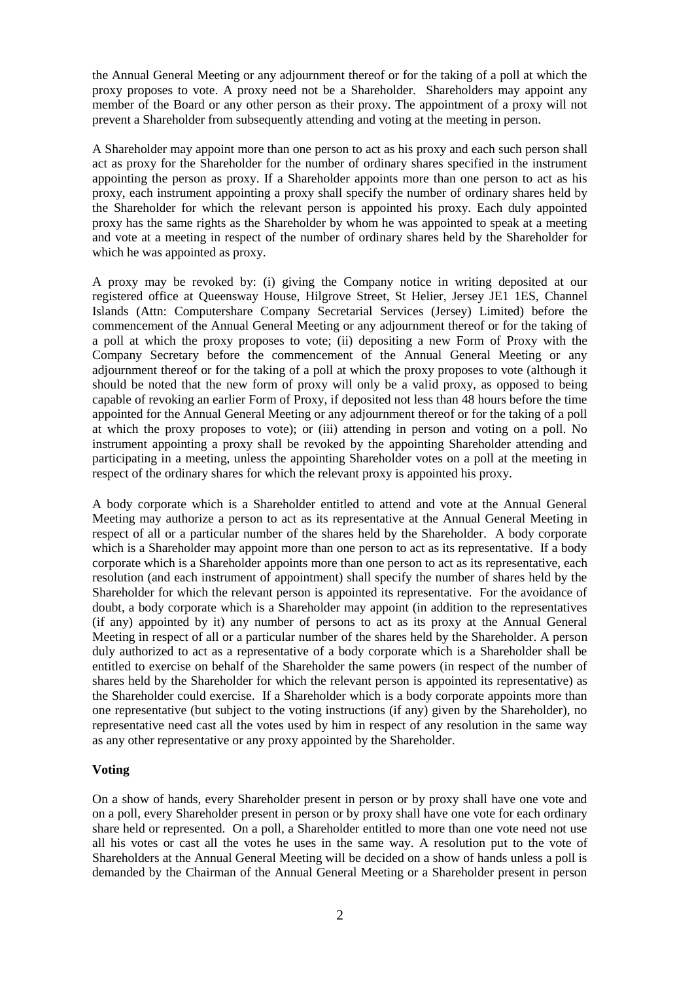the Annual General Meeting or any adjournment thereof or for the taking of a poll at which the proxy proposes to vote. A proxy need not be a Shareholder. Shareholders may appoint any member of the Board or any other person as their proxy. The appointment of a proxy will not prevent a Shareholder from subsequently attending and voting at the meeting in person.

A Shareholder may appoint more than one person to act as his proxy and each such person shall act as proxy for the Shareholder for the number of ordinary shares specified in the instrument appointing the person as proxy. If a Shareholder appoints more than one person to act as his proxy, each instrument appointing a proxy shall specify the number of ordinary shares held by the Shareholder for which the relevant person is appointed his proxy. Each duly appointed proxy has the same rights as the Shareholder by whom he was appointed to speak at a meeting and vote at a meeting in respect of the number of ordinary shares held by the Shareholder for which he was appointed as proxy.

A proxy may be revoked by: (i) giving the Company notice in writing deposited at our registered office at Queensway House, Hilgrove Street, St Helier, Jersey JE1 1ES, Channel Islands (Attn: Computershare Company Secretarial Services (Jersey) Limited) before the commencement of the Annual General Meeting or any adjournment thereof or for the taking of a poll at which the proxy proposes to vote; (ii) depositing a new Form of Proxy with the Company Secretary before the commencement of the Annual General Meeting or any adjournment thereof or for the taking of a poll at which the proxy proposes to vote (although it should be noted that the new form of proxy will only be a valid proxy, as opposed to being capable of revoking an earlier Form of Proxy, if deposited not less than 48 hours before the time appointed for the Annual General Meeting or any adjournment thereof or for the taking of a poll at which the proxy proposes to vote); or (iii) attending in person and voting on a poll. No instrument appointing a proxy shall be revoked by the appointing Shareholder attending and participating in a meeting, unless the appointing Shareholder votes on a poll at the meeting in respect of the ordinary shares for which the relevant proxy is appointed his proxy.

A body corporate which is a Shareholder entitled to attend and vote at the Annual General Meeting may authorize a person to act as its representative at the Annual General Meeting in respect of all or a particular number of the shares held by the Shareholder. A body corporate which is a Shareholder may appoint more than one person to act as its representative. If a body corporate which is a Shareholder appoints more than one person to act as its representative, each resolution (and each instrument of appointment) shall specify the number of shares held by the Shareholder for which the relevant person is appointed its representative. For the avoidance of doubt, a body corporate which is a Shareholder may appoint (in addition to the representatives (if any) appointed by it) any number of persons to act as its proxy at the Annual General Meeting in respect of all or a particular number of the shares held by the Shareholder. A person duly authorized to act as a representative of a body corporate which is a Shareholder shall be entitled to exercise on behalf of the Shareholder the same powers (in respect of the number of shares held by the Shareholder for which the relevant person is appointed its representative) as the Shareholder could exercise. If a Shareholder which is a body corporate appoints more than one representative (but subject to the voting instructions (if any) given by the Shareholder), no representative need cast all the votes used by him in respect of any resolution in the same way as any other representative or any proxy appointed by the Shareholder.

#### **Voting**

On a show of hands, every Shareholder present in person or by proxy shall have one vote and on a poll, every Shareholder present in person or by proxy shall have one vote for each ordinary share held or represented. On a poll, a Shareholder entitled to more than one vote need not use all his votes or cast all the votes he uses in the same way. A resolution put to the vote of Shareholders at the Annual General Meeting will be decided on a show of hands unless a poll is demanded by the Chairman of the Annual General Meeting or a Shareholder present in person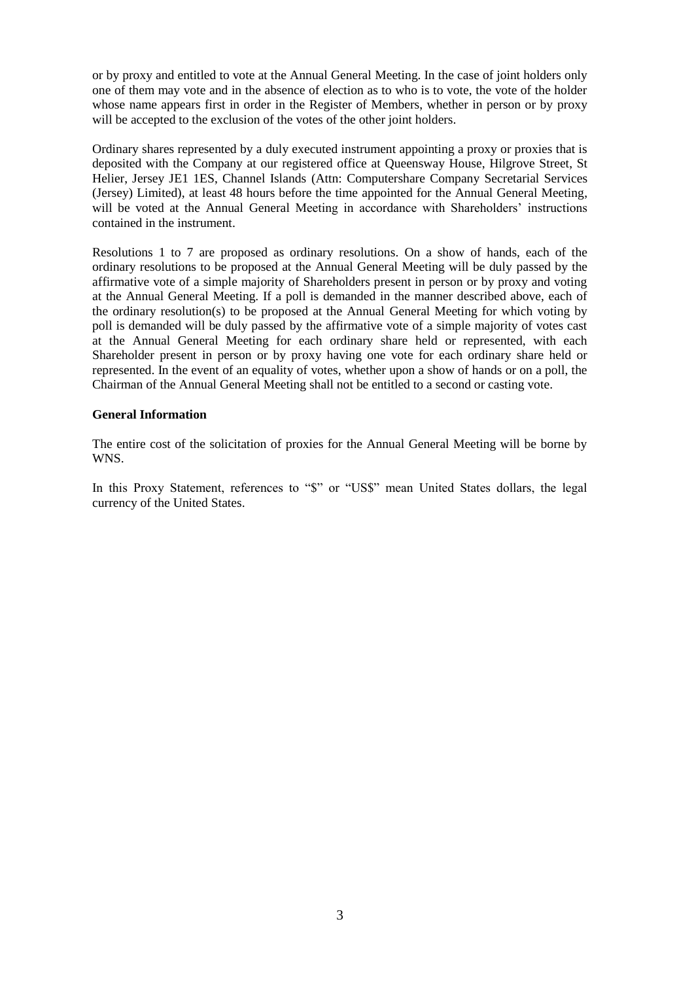or by proxy and entitled to vote at the Annual General Meeting. In the case of joint holders only one of them may vote and in the absence of election as to who is to vote, the vote of the holder whose name appears first in order in the Register of Members, whether in person or by proxy will be accepted to the exclusion of the votes of the other joint holders.

Ordinary shares represented by a duly executed instrument appointing a proxy or proxies that is deposited with the Company at our registered office at Queensway House, Hilgrove Street, St Helier, Jersey JE1 1ES, Channel Islands (Attn: Computershare Company Secretarial Services (Jersey) Limited), at least 48 hours before the time appointed for the Annual General Meeting, will be voted at the Annual General Meeting in accordance with Shareholders' instructions contained in the instrument.

Resolutions 1 to 7 are proposed as ordinary resolutions. On a show of hands, each of the ordinary resolutions to be proposed at the Annual General Meeting will be duly passed by the affirmative vote of a simple majority of Shareholders present in person or by proxy and voting at the Annual General Meeting. If a poll is demanded in the manner described above, each of the ordinary resolution(s) to be proposed at the Annual General Meeting for which voting by poll is demanded will be duly passed by the affirmative vote of a simple majority of votes cast at the Annual General Meeting for each ordinary share held or represented, with each Shareholder present in person or by proxy having one vote for each ordinary share held or represented. In the event of an equality of votes, whether upon a show of hands or on a poll, the Chairman of the Annual General Meeting shall not be entitled to a second or casting vote.

#### **General Information**

The entire cost of the solicitation of proxies for the Annual General Meeting will be borne by WNS.

In this Proxy Statement, references to "\$" or "US\$" mean United States dollars, the legal currency of the United States.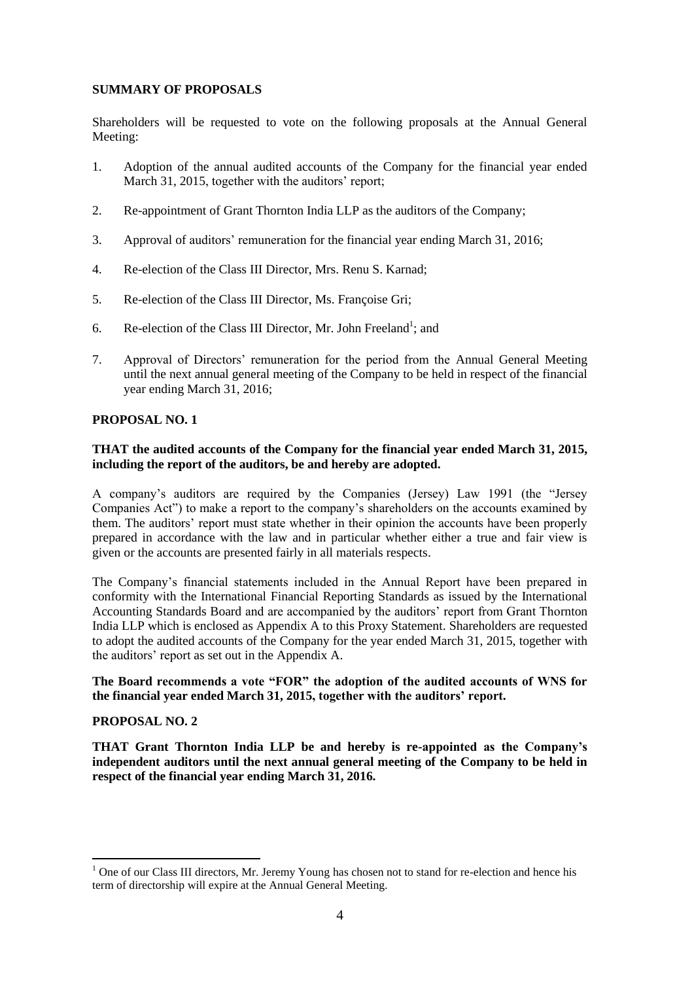## **SUMMARY OF PROPOSALS**

Shareholders will be requested to vote on the following proposals at the Annual General Meeting:

- 1. Adoption of the annual audited accounts of the Company for the financial year ended March 31, 2015, together with the auditors' report;
- 2. Re-appointment of Grant Thornton India LLP as the auditors of the Company;
- 3. Approval of auditors' remuneration for the financial year ending March 31, 2016;
- 4. Re-election of the Class III Director, Mrs. Renu S. Karnad;
- 5. Re-election of the Class III Director, Ms. Françoise Gri;
- 6. Re-election of the Class III Director, Mr. John Freeland<sup>1</sup>; and
- 7. Approval of Directors' remuneration for the period from the Annual General Meeting until the next annual general meeting of the Company to be held in respect of the financial year ending March 31, 2016;

## **PROPOSAL NO. 1**

## **THAT the audited accounts of the Company for the financial year ended March 31, 2015, including the report of the auditors, be and hereby are adopted.**

A company's auditors are required by the Companies (Jersey) Law 1991 (the "Jersey Companies Act") to make a report to the company's shareholders on the accounts examined by them. The auditors' report must state whether in their opinion the accounts have been properly prepared in accordance with the law and in particular whether either a true and fair view is given or the accounts are presented fairly in all materials respects.

The Company's financial statements included in the Annual Report have been prepared in conformity with the International Financial Reporting Standards as issued by the International Accounting Standards Board and are accompanied by the auditors' report from Grant Thornton India LLP which is enclosed as Appendix A to this Proxy Statement. Shareholders are requested to adopt the audited accounts of the Company for the year ended March 31, 2015, together with the auditors' report as set out in the Appendix A.

#### **The Board recommends a vote "FOR" the adoption of the audited accounts of WNS for the financial year ended March 31, 2015, together with the auditors" report.**

#### **PROPOSAL NO. 2**

 $\overline{a}$ 

**THAT Grant Thornton India LLP be and hereby is re-appointed as the Company"s independent auditors until the next annual general meeting of the Company to be held in respect of the financial year ending March 31, 2016.**

 $1$  One of our Class III directors, Mr. Jeremy Young has chosen not to stand for re-election and hence his term of directorship will expire at the Annual General Meeting.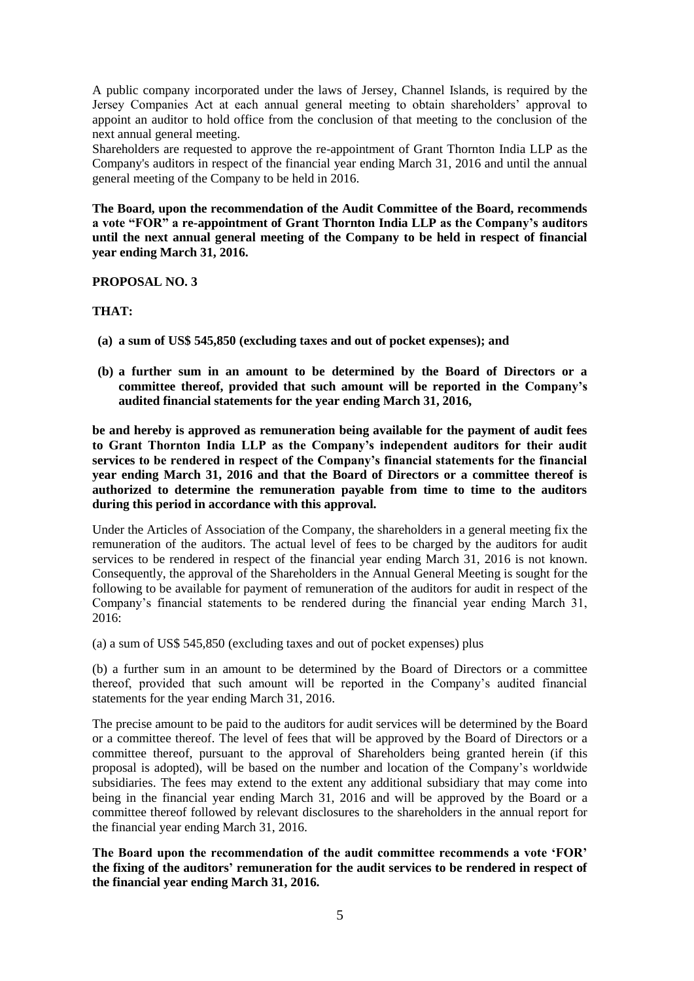A public company incorporated under the laws of Jersey, Channel Islands, is required by the Jersey Companies Act at each annual general meeting to obtain shareholders' approval to appoint an auditor to hold office from the conclusion of that meeting to the conclusion of the next annual general meeting.

Shareholders are requested to approve the re-appointment of Grant Thornton India LLP as the Company's auditors in respect of the financial year ending March 31, 2016 and until the annual general meeting of the Company to be held in 2016.

**The Board, upon the recommendation of the Audit Committee of the Board, recommends a vote "FOR" a re-appointment of Grant Thornton India LLP as the Company"s auditors until the next annual general meeting of the Company to be held in respect of financial year ending March 31, 2016.**

#### **PROPOSAL NO. 3**

## **THAT:**

- **(a) a sum of US\$ 545,850 (excluding taxes and out of pocket expenses); and**
- **(b) a further sum in an amount to be determined by the Board of Directors or a committee thereof, provided that such amount will be reported in the Company"s audited financial statements for the year ending March 31, 2016,**

**be and hereby is approved as remuneration being available for the payment of audit fees to Grant Thornton India LLP as the Company"s independent auditors for their audit services to be rendered in respect of the Company"s financial statements for the financial year ending March 31, 2016 and that the Board of Directors or a committee thereof is authorized to determine the remuneration payable from time to time to the auditors during this period in accordance with this approval.**

Under the Articles of Association of the Company, the shareholders in a general meeting fix the remuneration of the auditors. The actual level of fees to be charged by the auditors for audit services to be rendered in respect of the financial year ending March 31, 2016 is not known. Consequently, the approval of the Shareholders in the Annual General Meeting is sought for the following to be available for payment of remuneration of the auditors for audit in respect of the Company's financial statements to be rendered during the financial year ending March 31, 2016:

(a) a sum of US\$ 545,850 (excluding taxes and out of pocket expenses) plus

(b) a further sum in an amount to be determined by the Board of Directors or a committee thereof, provided that such amount will be reported in the Company's audited financial statements for the year ending March 31, 2016.

The precise amount to be paid to the auditors for audit services will be determined by the Board or a committee thereof. The level of fees that will be approved by the Board of Directors or a committee thereof, pursuant to the approval of Shareholders being granted herein (if this proposal is adopted), will be based on the number and location of the Company's worldwide subsidiaries. The fees may extend to the extent any additional subsidiary that may come into being in the financial year ending March 31, 2016 and will be approved by the Board or a committee thereof followed by relevant disclosures to the shareholders in the annual report for the financial year ending March 31, 2016.

**The Board upon the recommendation of the audit committee recommends a vote "FOR" the fixing of the auditors" remuneration for the audit services to be rendered in respect of the financial year ending March 31, 2016.**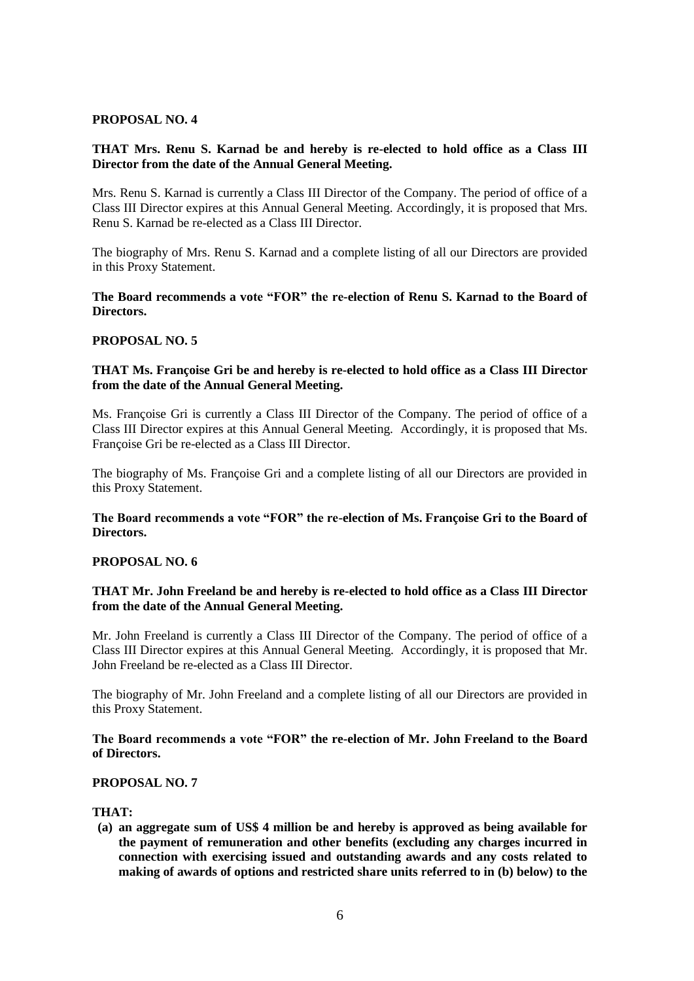#### **PROPOSAL NO. 4**

## **THAT Mrs. Renu S. Karnad be and hereby is re-elected to hold office as a Class III Director from the date of the Annual General Meeting.**

Mrs. Renu S. Karnad is currently a Class III Director of the Company. The period of office of a Class III Director expires at this Annual General Meeting. Accordingly, it is proposed that Mrs. Renu S. Karnad be re-elected as a Class III Director.

The biography of Mrs. Renu S. Karnad and a complete listing of all our Directors are provided in this Proxy Statement.

#### **The Board recommends a vote "FOR" the re-election of Renu S. Karnad to the Board of Directors.**

#### **PROPOSAL NO. 5**

### **THAT Ms. Françoise Gri be and hereby is re-elected to hold office as a Class III Director from the date of the Annual General Meeting.**

Ms. Françoise Gri is currently a Class III Director of the Company. The period of office of a Class III Director expires at this Annual General Meeting. Accordingly, it is proposed that Ms. Françoise Gri be re-elected as a Class III Director.

The biography of Ms. Françoise Gri and a complete listing of all our Directors are provided in this Proxy Statement.

#### **The Board recommends a vote "FOR" the re-election of Ms. Françoise Gri to the Board of Directors.**

#### **PROPOSAL NO. 6**

#### **THAT Mr. John Freeland be and hereby is re-elected to hold office as a Class III Director from the date of the Annual General Meeting.**

Mr. John Freeland is currently a Class III Director of the Company. The period of office of a Class III Director expires at this Annual General Meeting. Accordingly, it is proposed that Mr. John Freeland be re-elected as a Class III Director.

The biography of Mr. John Freeland and a complete listing of all our Directors are provided in this Proxy Statement.

### **The Board recommends a vote "FOR" the re-election of Mr. John Freeland to the Board of Directors.**

#### **PROPOSAL NO. 7**

#### **THAT:**

**(a) an aggregate sum of US\$ 4 million be and hereby is approved as being available for the payment of remuneration and other benefits (excluding any charges incurred in connection with exercising issued and outstanding awards and any costs related to making of awards of options and restricted share units referred to in (b) below) to the**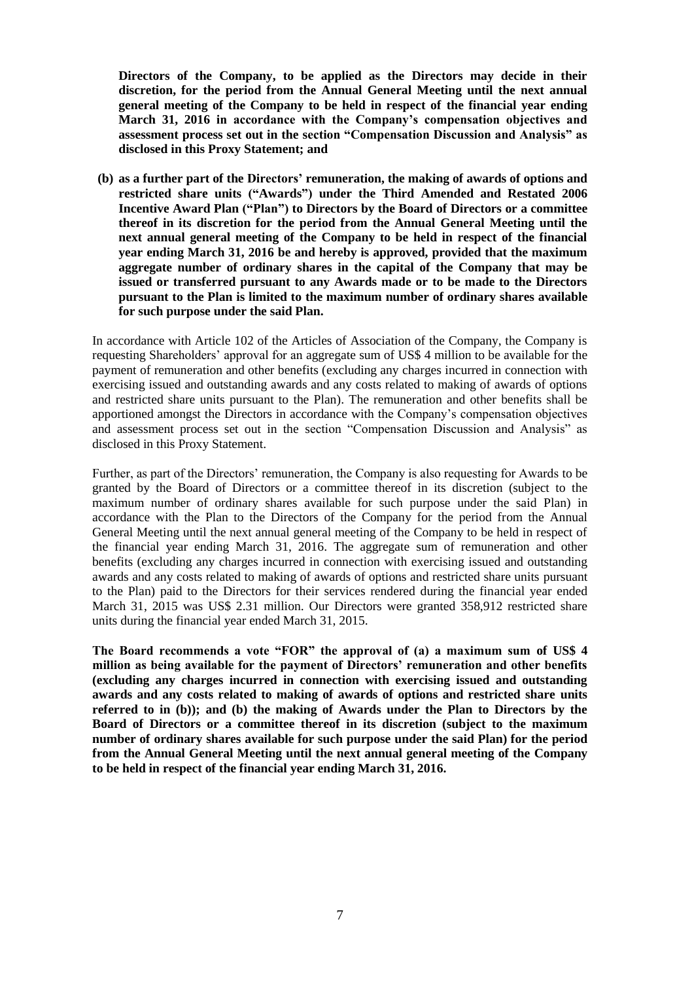**Directors of the Company, to be applied as the Directors may decide in their discretion, for the period from the Annual General Meeting until the next annual general meeting of the Company to be held in respect of the financial year ending March 31, 2016 in accordance with the Company"s compensation objectives and assessment process set out in the section "Compensation Discussion and Analysis" as disclosed in this Proxy Statement; and**

**(b) as a further part of the Directors" remuneration, the making of awards of options and restricted share units ("Awards") under the Third Amended and Restated 2006 Incentive Award Plan ("Plan") to Directors by the Board of Directors or a committee thereof in its discretion for the period from the Annual General Meeting until the next annual general meeting of the Company to be held in respect of the financial year ending March 31, 2016 be and hereby is approved, provided that the maximum aggregate number of ordinary shares in the capital of the Company that may be issued or transferred pursuant to any Awards made or to be made to the Directors pursuant to the Plan is limited to the maximum number of ordinary shares available for such purpose under the said Plan.** 

In accordance with Article 102 of the Articles of Association of the Company, the Company is requesting Shareholders' approval for an aggregate sum of US\$ 4 million to be available for the payment of remuneration and other benefits (excluding any charges incurred in connection with exercising issued and outstanding awards and any costs related to making of awards of options and restricted share units pursuant to the Plan). The remuneration and other benefits shall be apportioned amongst the Directors in accordance with the Company's compensation objectives and assessment process set out in the section "Compensation Discussion and Analysis" as disclosed in this Proxy Statement.

Further, as part of the Directors' remuneration, the Company is also requesting for Awards to be granted by the Board of Directors or a committee thereof in its discretion (subject to the maximum number of ordinary shares available for such purpose under the said Plan) in accordance with the Plan to the Directors of the Company for the period from the Annual General Meeting until the next annual general meeting of the Company to be held in respect of the financial year ending March 31, 2016. The aggregate sum of remuneration and other benefits (excluding any charges incurred in connection with exercising issued and outstanding awards and any costs related to making of awards of options and restricted share units pursuant to the Plan) paid to the Directors for their services rendered during the financial year ended March 31, 2015 was US\$ 2.31 million. Our Directors were granted 358,912 restricted share units during the financial year ended March 31, 2015.

**The Board recommends a vote "FOR" the approval of (a) a maximum sum of US\$ 4 million as being available for the payment of Directors" remuneration and other benefits (excluding any charges incurred in connection with exercising issued and outstanding awards and any costs related to making of awards of options and restricted share units referred to in (b)); and (b) the making of Awards under the Plan to Directors by the Board of Directors or a committee thereof in its discretion (subject to the maximum number of ordinary shares available for such purpose under the said Plan) for the period from the Annual General Meeting until the next annual general meeting of the Company to be held in respect of the financial year ending March 31, 2016.**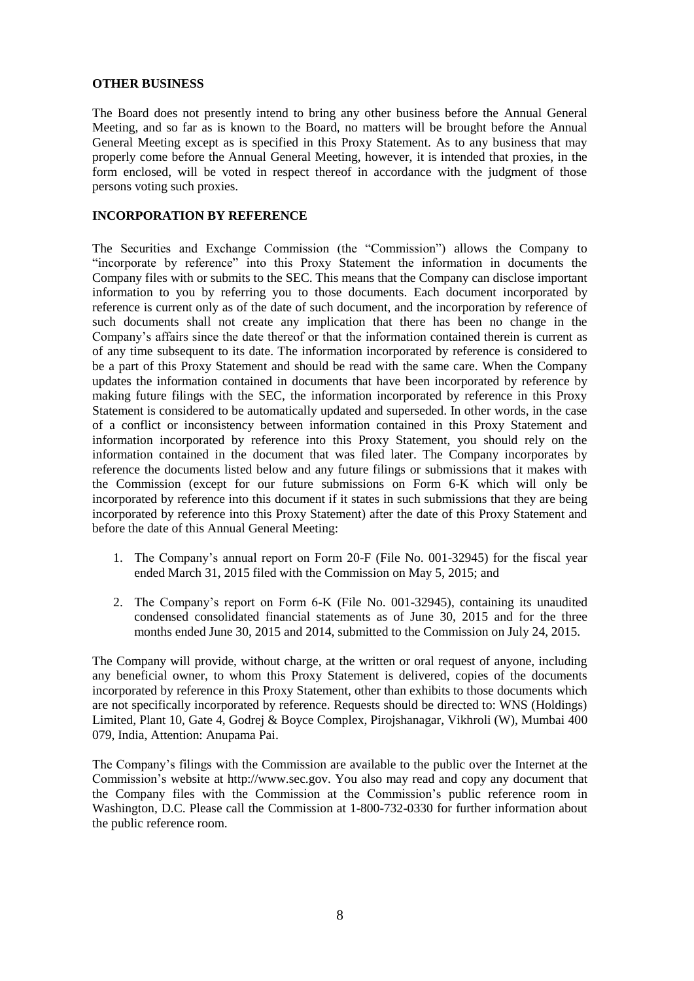#### **OTHER BUSINESS**

The Board does not presently intend to bring any other business before the Annual General Meeting, and so far as is known to the Board, no matters will be brought before the Annual General Meeting except as is specified in this Proxy Statement. As to any business that may properly come before the Annual General Meeting, however, it is intended that proxies, in the form enclosed, will be voted in respect thereof in accordance with the judgment of those persons voting such proxies.

#### **INCORPORATION BY REFERENCE**

The Securities and Exchange Commission (the "Commission") allows the Company to ―incorporate by reference‖ into this Proxy Statement the information in documents the Company files with or submits to the SEC. This means that the Company can disclose important information to you by referring you to those documents. Each document incorporated by reference is current only as of the date of such document, and the incorporation by reference of such documents shall not create any implication that there has been no change in the Company's affairs since the date thereof or that the information contained therein is current as of any time subsequent to its date. The information incorporated by reference is considered to be a part of this Proxy Statement and should be read with the same care. When the Company updates the information contained in documents that have been incorporated by reference by making future filings with the SEC, the information incorporated by reference in this Proxy Statement is considered to be automatically updated and superseded. In other words, in the case of a conflict or inconsistency between information contained in this Proxy Statement and information incorporated by reference into this Proxy Statement, you should rely on the information contained in the document that was filed later. The Company incorporates by reference the documents listed below and any future filings or submissions that it makes with the Commission (except for our future submissions on Form 6-K which will only be incorporated by reference into this document if it states in such submissions that they are being incorporated by reference into this Proxy Statement) after the date of this Proxy Statement and before the date of this Annual General Meeting:

- 1. The Company's annual report on Form 20-F (File No. 001-32945) for the fiscal year ended March 31, 2015 filed with the Commission on May 5, 2015; and
- 2. The Company's report on Form 6-K (File No. 001-32945), containing its unaudited condensed consolidated financial statements as of June 30, 2015 and for the three months ended June 30, 2015 and 2014, submitted to the Commission on July 24, 2015.

The Company will provide, without charge, at the written or oral request of anyone, including any beneficial owner, to whom this Proxy Statement is delivered, copies of the documents incorporated by reference in this Proxy Statement, other than exhibits to those documents which are not specifically incorporated by reference. Requests should be directed to: WNS (Holdings) Limited, Plant 10, Gate 4, Godrej & Boyce Complex, Pirojshanagar, Vikhroli (W), Mumbai 400 079, India, Attention: Anupama Pai.

The Company's filings with the Commission are available to the public over the Internet at the Commission's website at http://www.sec.gov. You also may read and copy any document that the Company files with the Commission at the Commission's public reference room in Washington, D.C. Please call the Commission at 1-800-732-0330 for further information about the public reference room.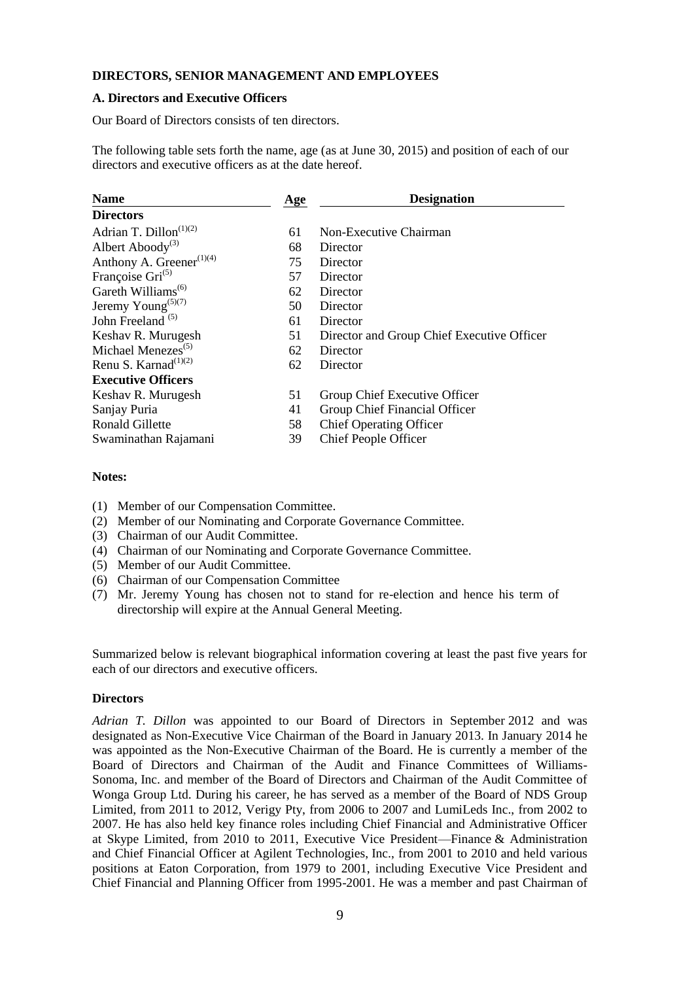### **DIRECTORS, SENIOR MANAGEMENT AND EMPLOYEES**

#### **A. Directors and Executive Officers**

Our Board of Directors consists of ten directors.

The following table sets forth the name, age (as at June 30, 2015) and position of each of our directors and executive officers as at the date hereof.

| <b>Name</b><br>Age                                | <b>Designation</b>                         |
|---------------------------------------------------|--------------------------------------------|
| <b>Directors</b>                                  |                                            |
| Adrian T. Dillon <sup>(1)(2)</sup><br>61          | Non-Executive Chairman                     |
| Albert Aboody <sup>(3)</sup><br>68                | Director                                   |
| Anthony A. Greener <sup>(1)(4)</sup><br>75        | Director                                   |
| Françoise Gri <sup>(5)</sup><br>57                | Director                                   |
| Gareth Williams <sup>(6)</sup><br>62              | Director                                   |
| Jeremy Young <sup><math>(5)(7)</math></sup><br>50 | Director                                   |
| John Freeland $(5)$<br>61                         | Director                                   |
| 51<br>Keshav R. Murugesh                          | Director and Group Chief Executive Officer |
| Michael Menezes <sup>(5)</sup><br>62              | Director                                   |
| Renu S. Karnad <sup>(1)(2)</sup><br>62            | Director                                   |
| <b>Executive Officers</b>                         |                                            |
| 51<br>Keshav R. Murugesh                          | Group Chief Executive Officer              |
| Sanjay Puria<br>41                                | Group Chief Financial Officer              |
| <b>Ronald Gillette</b><br>58                      | <b>Chief Operating Officer</b>             |
| 39<br>Swaminathan Rajamani                        | Chief People Officer                       |

#### **Notes:**

- (1) Member of our Compensation Committee.
- (2) Member of our Nominating and Corporate Governance Committee.
- (3) Chairman of our Audit Committee.
- (4) Chairman of our Nominating and Corporate Governance Committee.
- (5) Member of our Audit Committee.
- (6) Chairman of our Compensation Committee
- (7) Mr. Jeremy Young has chosen not to stand for re-election and hence his term of directorship will expire at the Annual General Meeting.

Summarized below is relevant biographical information covering at least the past five years for each of our directors and executive officers.

#### **Directors**

*Adrian T. Dillon* was appointed to our Board of Directors in September 2012 and was designated as Non-Executive Vice Chairman of the Board in January 2013. In January 2014 he was appointed as the Non-Executive Chairman of the Board. He is currently a member of the Board of Directors and Chairman of the Audit and Finance Committees of Williams-Sonoma, Inc. and member of the Board of Directors and Chairman of the Audit Committee of Wonga Group Ltd. During his career, he has served as a member of the Board of NDS Group Limited, from 2011 to 2012, Verigy Pty, from 2006 to 2007 and LumiLeds Inc., from 2002 to 2007. He has also held key finance roles including Chief Financial and Administrative Officer at Skype Limited, from 2010 to 2011, Executive Vice President—Finance & Administration and Chief Financial Officer at Agilent Technologies, Inc., from 2001 to 2010 and held various positions at Eaton Corporation, from 1979 to 2001, including Executive Vice President and Chief Financial and Planning Officer from 1995-2001. He was a member and past Chairman of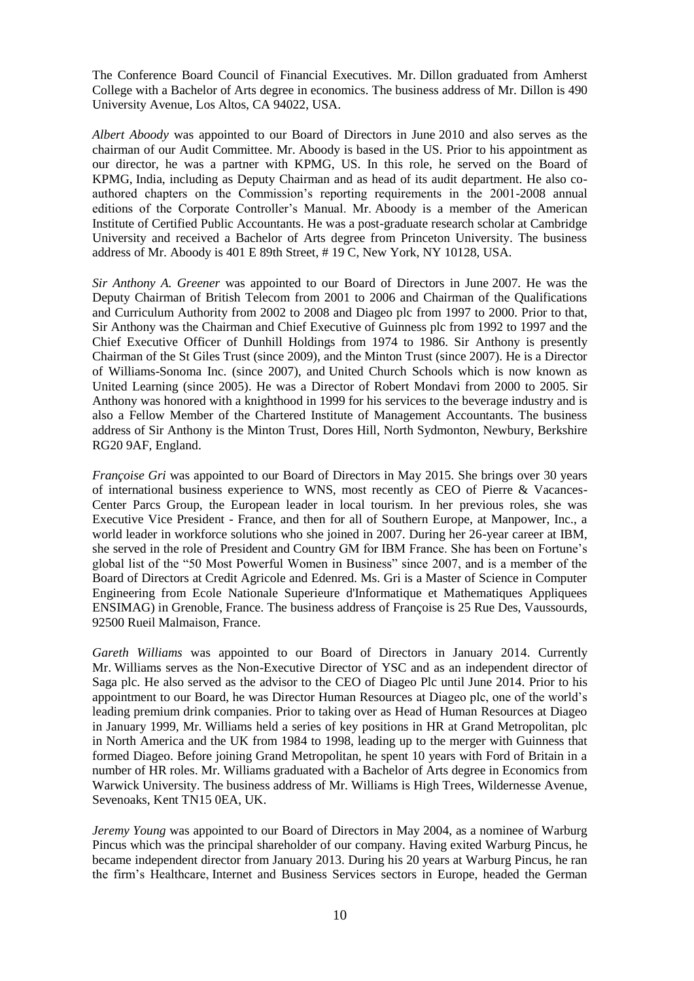The Conference Board Council of Financial Executives. Mr. Dillon graduated from Amherst College with a Bachelor of Arts degree in economics. The business address of Mr. Dillon is 490 University Avenue, Los Altos, CA 94022, USA.

*Albert Aboody* was appointed to our Board of Directors in June 2010 and also serves as the chairman of our Audit Committee. Mr. Aboody is based in the US. Prior to his appointment as our director, he was a partner with KPMG, US. In this role, he served on the Board of KPMG, India, including as Deputy Chairman and as head of its audit department. He also coauthored chapters on the Commission's reporting requirements in the 2001-2008 annual editions of the Corporate Controller's Manual. Mr. Aboody is a member of the American Institute of Certified Public Accountants. He was a post-graduate research scholar at Cambridge University and received a Bachelor of Arts degree from Princeton University. The business address of Mr. Aboody is 401 E 89th Street, # 19 C, New York, NY 10128, USA.

*Sir Anthony A. Greener* was appointed to our Board of Directors in June 2007. He was the Deputy Chairman of British Telecom from 2001 to 2006 and Chairman of the Qualifications and Curriculum Authority from 2002 to 2008 and Diageo plc from 1997 to 2000. Prior to that, Sir Anthony was the Chairman and Chief Executive of Guinness plc from 1992 to 1997 and the Chief Executive Officer of Dunhill Holdings from 1974 to 1986. Sir Anthony is presently Chairman of the St Giles Trust (since 2009), and the Minton Trust (since 2007). He is a Director of Williams-Sonoma Inc. (since 2007), and United Church Schools which is now known as United Learning (since 2005). He was a Director of Robert Mondavi from 2000 to 2005. Sir Anthony was honored with a knighthood in 1999 for his services to the beverage industry and is also a Fellow Member of the Chartered Institute of Management Accountants. The business address of Sir Anthony is the Minton Trust, Dores Hill, North Sydmonton, Newbury, Berkshire RG20 9AF, England.

*Françoise Gri* was appointed to our Board of Directors in May 2015. She brings over 30 years of international business experience to WNS, most recently as CEO of Pierre & Vacances-Center Parcs Group, the European leader in local tourism. In her previous roles, she was Executive Vice President - France, and then for all of Southern Europe, at Manpower, Inc., a world leader in workforce solutions who she joined in 2007. During her 26-year career at IBM, she served in the role of President and Country GM for IBM France. She has been on Fortune's global list of the "50 Most Powerful Women in Business" since 2007, and is a member of the Board of Directors at Credit Agricole and Edenred. Ms. Gri is a Master of Science in Computer Engineering from Ecole Nationale Superieure d'Informatique et Mathematiques Appliquees ENSIMAG) in Grenoble, France. The business address of Françoise is 25 Rue Des, Vaussourds, 92500 Rueil Malmaison, France.

*Gareth Williams* was appointed to our Board of Directors in January 2014. Currently Mr. Williams serves as the Non-Executive Director of YSC and as an independent director of Saga plc. He also served as the advisor to the CEO of Diageo Plc until June 2014. Prior to his appointment to our Board, he was Director Human Resources at Diageo plc, one of the world's leading premium drink companies. Prior to taking over as Head of Human Resources at Diageo in January 1999, Mr. Williams held a series of key positions in HR at Grand Metropolitan, plc in North America and the UK from 1984 to 1998, leading up to the merger with Guinness that formed Diageo. Before joining Grand Metropolitan, he spent 10 years with Ford of Britain in a number of HR roles. Mr. Williams graduated with a Bachelor of Arts degree in Economics from Warwick University. The business address of Mr. Williams is High Trees, Wildernesse Avenue, Sevenoaks, Kent TN15 0EA, UK.

*Jeremy Young* was appointed to our Board of Directors in May 2004, as a nominee of Warburg Pincus which was the principal shareholder of our company. Having exited Warburg Pincus, he became independent director from January 2013. During his 20 years at Warburg Pincus, he ran the firm's Healthcare, Internet and Business Services sectors in Europe, headed the German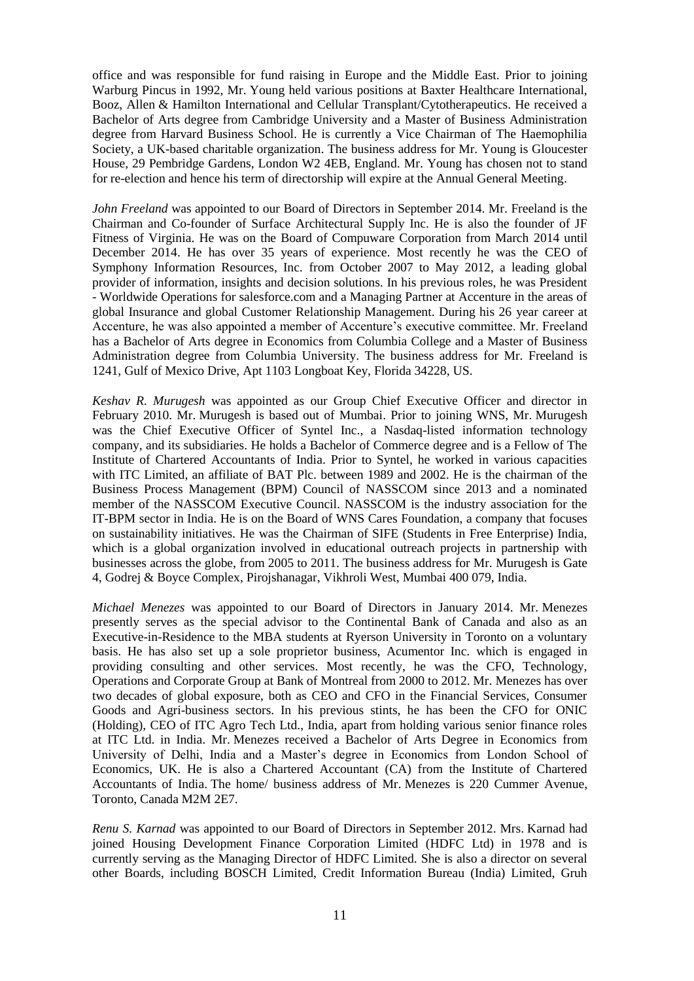office and was responsible for fund raising in Europe and the Middle East. Prior to joining Warburg Pincus in 1992, Mr. Young held various positions at Baxter Healthcare International, Booz, Allen & Hamilton International and Cellular Transplant/Cytotherapeutics. He received a Bachelor of Arts degree from Cambridge University and a Master of Business Administration degree from Harvard Business School. He is currently a Vice Chairman of The Haemophilia Society, a UK-based charitable organization. The business address for Mr. Young is Gloucester House, 29 Pembridge Gardens, London W2 4EB, England. Mr. Young has chosen not to stand for re-election and hence his term of directorship will expire at the Annual General Meeting.

*John Freeland* was appointed to our Board of Directors in September 2014. Mr. Freeland is the Chairman and Co-founder of Surface Architectural Supply Inc. He is also the founder of JF Fitness of Virginia. He was on the Board of Compuware Corporation from March 2014 until December 2014. He has over 35 years of experience. Most recently he was the CEO of Symphony Information Resources, Inc. from October 2007 to May 2012, a leading global provider of information, insights and decision solutions. In his previous roles, he was President - Worldwide Operations for salesforce.com and a Managing Partner at Accenture in the areas of global Insurance and global Customer Relationship Management. During his 26 year career at Accenture, he was also appointed a member of Accenture's executive committee. Mr. Freeland has a Bachelor of Arts degree in Economics from Columbia College and a Master of Business Administration degree from Columbia University. The business address for Mr. Freeland is 1241, Gulf of Mexico Drive, Apt 1103 Longboat Key, Florida 34228, US.

*Keshav R. Murugesh* was appointed as our Group Chief Executive Officer and director in February 2010. Mr. Murugesh is based out of Mumbai. Prior to joining WNS, Mr. Murugesh was the Chief Executive Officer of Syntel Inc., a Nasdaq-listed information technology company, and its subsidiaries. He holds a Bachelor of Commerce degree and is a Fellow of The Institute of Chartered Accountants of India. Prior to Syntel, he worked in various capacities with ITC Limited, an affiliate of BAT Plc. between 1989 and 2002. He is the chairman of the Business Process Management (BPM) Council of NASSCOM since 2013 and a nominated member of the NASSCOM Executive Council. NASSCOM is the industry association for the IT-BPM sector in India. He is on the Board of WNS Cares Foundation, a company that focuses on sustainability initiatives. He was the Chairman of SIFE (Students in Free Enterprise) India, which is a global organization involved in educational outreach projects in partnership with businesses across the globe, from 2005 to 2011. The business address for Mr. Murugesh is Gate 4, Godrej & Boyce Complex, Pirojshanagar, Vikhroli West, Mumbai 400 079, India.

*Michael Menezes* was appointed to our Board of Directors in January 2014. Mr. Menezes presently serves as the special advisor to the Continental Bank of Canada and also as an Executive-in-Residence to the MBA students at Ryerson University in Toronto on a voluntary basis. He has also set up a sole proprietor business, Acumentor Inc. which is engaged in providing consulting and other services. Most recently, he was the CFO, Technology, Operations and Corporate Group at Bank of Montreal from 2000 to 2012. Mr. Menezes has over two decades of global exposure, both as CEO and CFO in the Financial Services, Consumer Goods and Agri-business sectors. In his previous stints, he has been the CFO for ONIC (Holding), CEO of ITC Agro Tech Ltd., India, apart from holding various senior finance roles at ITC Ltd. in India. Mr. Menezes received a Bachelor of Arts Degree in Economics from University of Delhi, India and a Master's degree in Economics from London School of Economics, UK. He is also a Chartered Accountant (CA) from the Institute of Chartered Accountants of India. The home/ business address of Mr. Menezes is 220 Cummer Avenue, Toronto, Canada M2M 2E7.

*Renu S. Karnad* was appointed to our Board of Directors in September 2012. Mrs. Karnad had joined Housing Development Finance Corporation Limited (HDFC Ltd) in 1978 and is currently serving as the Managing Director of HDFC Limited. She is also a director on several other Boards, including BOSCH Limited, Credit Information Bureau (India) Limited, Gruh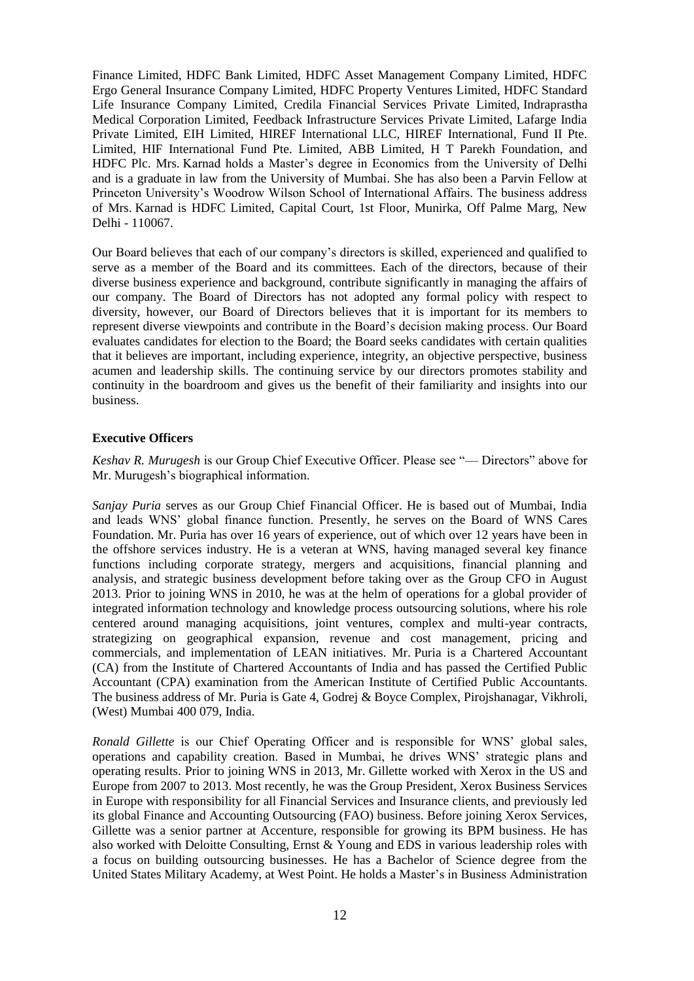Finance Limited, HDFC Bank Limited, HDFC Asset Management Company Limited, HDFC Ergo General Insurance Company Limited, HDFC Property Ventures Limited, HDFC Standard Life Insurance Company Limited, Credila Financial Services Private Limited, Indraprastha Medical Corporation Limited, Feedback Infrastructure Services Private Limited, Lafarge India Private Limited, EIH Limited, HIREF International LLC, HIREF International, Fund II Pte. Limited, HIF International Fund Pte. Limited, ABB Limited, H T Parekh Foundation, and HDFC Plc. Mrs. Karnad holds a Master's degree in Economics from the University of Delhi and is a graduate in law from the University of Mumbai. She has also been a Parvin Fellow at Princeton University's Woodrow Wilson School of International Affairs. The business address of Mrs. Karnad is HDFC Limited, Capital Court, 1st Floor, Munirka, Off Palme Marg, New Delhi - 110067.

Our Board believes that each of our company's directors is skilled, experienced and qualified to serve as a member of the Board and its committees. Each of the directors, because of their diverse business experience and background, contribute significantly in managing the affairs of our company. The Board of Directors has not adopted any formal policy with respect to diversity, however, our Board of Directors believes that it is important for its members to represent diverse viewpoints and contribute in the Board's decision making process. Our Board evaluates candidates for election to the Board; the Board seeks candidates with certain qualities that it believes are important, including experience, integrity, an objective perspective, business acumen and leadership skills. The continuing service by our directors promotes stability and continuity in the boardroom and gives us the benefit of their familiarity and insights into our business.

## **Executive Officers**

*Keshav R. Murugesh* is our Group Chief Executive Officer. Please see "— Directors" above for Mr. Murugesh's biographical information.

*Sanjay Puria* serves as our Group Chief Financial Officer. He is based out of Mumbai, India and leads WNS' global finance function. Presently, he serves on the Board of WNS Cares Foundation. Mr. Puria has over 16 years of experience, out of which over 12 years have been in the offshore services industry. He is a veteran at WNS, having managed several key finance functions including corporate strategy, mergers and acquisitions, financial planning and analysis, and strategic business development before taking over as the Group CFO in August 2013. Prior to joining WNS in 2010, he was at the helm of operations for a global provider of integrated information technology and knowledge process outsourcing solutions, where his role centered around managing acquisitions, joint ventures, complex and multi-year contracts, strategizing on geographical expansion, revenue and cost management, pricing and commercials, and implementation of LEAN initiatives. Mr. Puria is a Chartered Accountant (CA) from the Institute of Chartered Accountants of India and has passed the Certified Public Accountant (CPA) examination from the American Institute of Certified Public Accountants. The business address of Mr. Puria is Gate 4, Godrej & Boyce Complex, Pirojshanagar, Vikhroli, (West) Mumbai 400 079, India.

*Ronald Gillette* is our Chief Operating Officer and is responsible for WNS' global sales, operations and capability creation. Based in Mumbai, he drives WNS' strategic plans and operating results. Prior to joining WNS in 2013, Mr. Gillette worked with Xerox in the US and Europe from 2007 to 2013. Most recently, he was the Group President, Xerox Business Services in Europe with responsibility for all Financial Services and Insurance clients, and previously led its global Finance and Accounting Outsourcing (FAO) business. Before joining Xerox Services, Gillette was a senior partner at Accenture, responsible for growing its BPM business. He has also worked with Deloitte Consulting, Ernst & Young and EDS in various leadership roles with a focus on building outsourcing businesses. He has a Bachelor of Science degree from the United States Military Academy, at West Point. He holds a Master's in Business Administration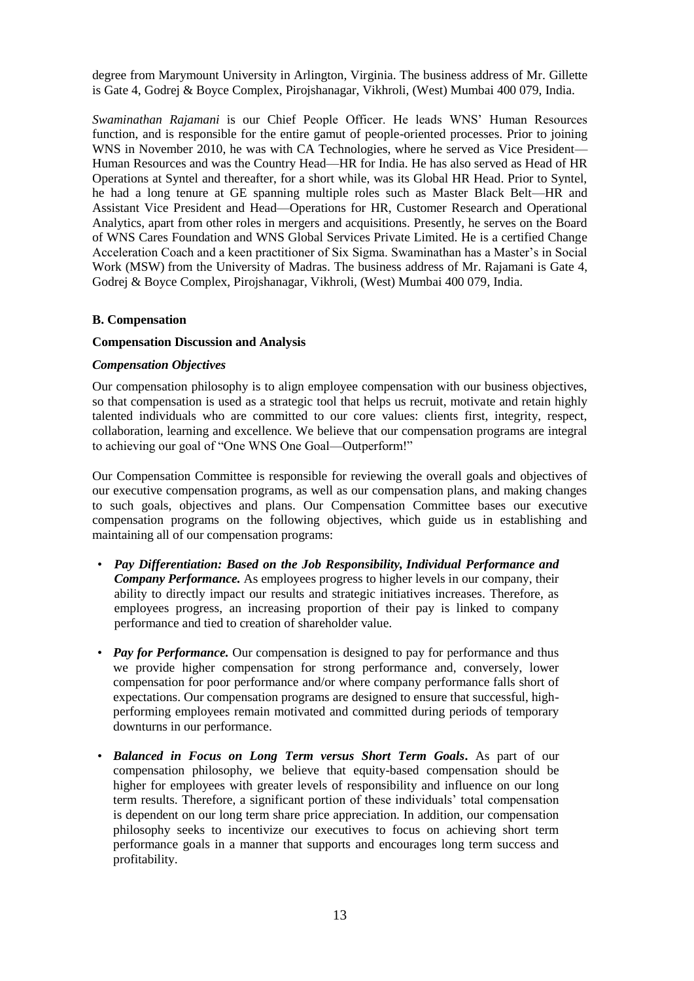degree from Marymount University in Arlington, Virginia. The business address of Mr. Gillette is Gate 4, Godrej & Boyce Complex, Pirojshanagar, Vikhroli, (West) Mumbai 400 079, India.

*Swaminathan Rajamani* is our Chief People Officer. He leads WNS' Human Resources function, and is responsible for the entire gamut of people-oriented processes. Prior to joining WNS in November 2010, he was with CA Technologies, where he served as Vice President— Human Resources and was the Country Head—HR for India. He has also served as Head of HR Operations at Syntel and thereafter, for a short while, was its Global HR Head. Prior to Syntel, he had a long tenure at GE spanning multiple roles such as Master Black Belt—HR and Assistant Vice President and Head—Operations for HR, Customer Research and Operational Analytics, apart from other roles in mergers and acquisitions. Presently, he serves on the Board of WNS Cares Foundation and WNS Global Services Private Limited. He is a certified Change Acceleration Coach and a keen practitioner of Six Sigma. Swaminathan has a Master's in Social Work (MSW) from the University of Madras. The business address of Mr. Rajamani is Gate 4, Godrej & Boyce Complex, Pirojshanagar, Vikhroli, (West) Mumbai 400 079, India.

#### **B. Compensation**

#### **Compensation Discussion and Analysis**

### *Compensation Objectives*

Our compensation philosophy is to align employee compensation with our business objectives, so that compensation is used as a strategic tool that helps us recruit, motivate and retain highly talented individuals who are committed to our core values: clients first, integrity, respect, collaboration, learning and excellence. We believe that our compensation programs are integral to achieving our goal of "One WNS One Goal—Outperform!"

Our Compensation Committee is responsible for reviewing the overall goals and objectives of our executive compensation programs, as well as our compensation plans, and making changes to such goals, objectives and plans. Our Compensation Committee bases our executive compensation programs on the following objectives, which guide us in establishing and maintaining all of our compensation programs:

- *Pay Differentiation: Based on the Job Responsibility, Individual Performance and Company Performance.* As employees progress to higher levels in our company, their ability to directly impact our results and strategic initiatives increases. Therefore, as employees progress, an increasing proportion of their pay is linked to company performance and tied to creation of shareholder value.
- *Pay for Performance*. Our compensation is designed to pay for performance and thus we provide higher compensation for strong performance and, conversely, lower compensation for poor performance and/or where company performance falls short of expectations. Our compensation programs are designed to ensure that successful, highperforming employees remain motivated and committed during periods of temporary downturns in our performance.
- *Balanced in Focus on Long Term versus Short Term Goals***.** As part of our compensation philosophy, we believe that equity-based compensation should be higher for employees with greater levels of responsibility and influence on our long term results. Therefore, a significant portion of these individuals' total compensation is dependent on our long term share price appreciation. In addition, our compensation philosophy seeks to incentivize our executives to focus on achieving short term performance goals in a manner that supports and encourages long term success and profitability.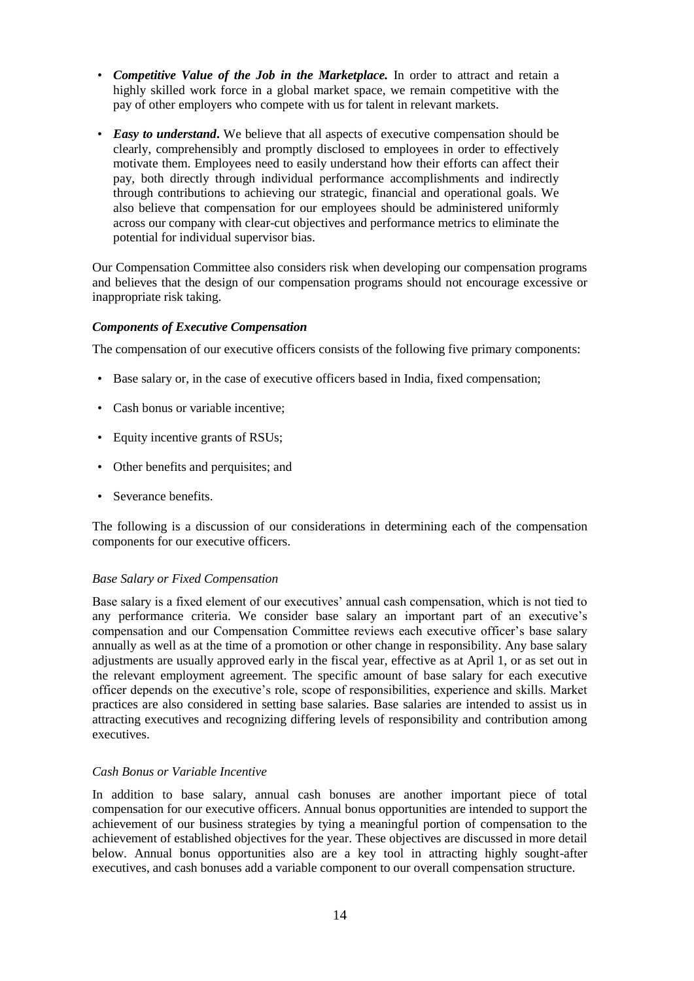- *Competitive Value of the Job in the Marketplace.* In order to attract and retain a highly skilled work force in a global market space, we remain competitive with the pay of other employers who compete with us for talent in relevant markets.
- *Easy to understand***.** We believe that all aspects of executive compensation should be clearly, comprehensibly and promptly disclosed to employees in order to effectively motivate them. Employees need to easily understand how their efforts can affect their pay, both directly through individual performance accomplishments and indirectly through contributions to achieving our strategic, financial and operational goals. We also believe that compensation for our employees should be administered uniformly across our company with clear-cut objectives and performance metrics to eliminate the potential for individual supervisor bias.

Our Compensation Committee also considers risk when developing our compensation programs and believes that the design of our compensation programs should not encourage excessive or inappropriate risk taking.

#### *Components of Executive Compensation*

The compensation of our executive officers consists of the following five primary components:

- Base salary or, in the case of executive officers based in India, fixed compensation;
- Cash bonus or variable incentive;
- Equity incentive grants of RSUs;
- Other benefits and perquisites; and
- Severance benefits.

The following is a discussion of our considerations in determining each of the compensation components for our executive officers.

#### *Base Salary or Fixed Compensation*

Base salary is a fixed element of our executives' annual cash compensation, which is not tied to any performance criteria. We consider base salary an important part of an executive's compensation and our Compensation Committee reviews each executive officer's base salary annually as well as at the time of a promotion or other change in responsibility. Any base salary adjustments are usually approved early in the fiscal year, effective as at April 1, or as set out in the relevant employment agreement. The specific amount of base salary for each executive officer depends on the executive's role, scope of responsibilities, experience and skills. Market practices are also considered in setting base salaries. Base salaries are intended to assist us in attracting executives and recognizing differing levels of responsibility and contribution among executives.

#### *Cash Bonus or Variable Incentive*

In addition to base salary, annual cash bonuses are another important piece of total compensation for our executive officers. Annual bonus opportunities are intended to support the achievement of our business strategies by tying a meaningful portion of compensation to the achievement of established objectives for the year. These objectives are discussed in more detail below. Annual bonus opportunities also are a key tool in attracting highly sought-after executives, and cash bonuses add a variable component to our overall compensation structure.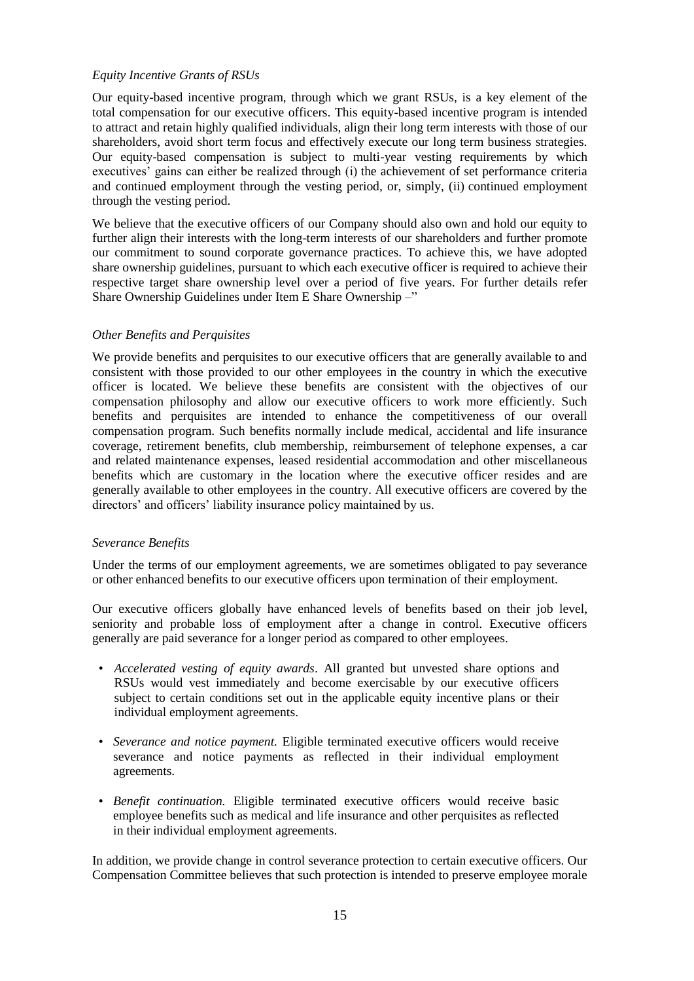### *Equity Incentive Grants of RSUs*

Our equity-based incentive program, through which we grant RSUs, is a key element of the total compensation for our executive officers. This equity-based incentive program is intended to attract and retain highly qualified individuals, align their long term interests with those of our shareholders, avoid short term focus and effectively execute our long term business strategies. Our equity-based compensation is subject to multi-year vesting requirements by which executives' gains can either be realized through (i) the achievement of set performance criteria and continued employment through the vesting period, or, simply, (ii) continued employment through the vesting period.

We believe that the executive officers of our Company should also own and hold our equity to further align their interests with the long-term interests of our shareholders and further promote our commitment to sound corporate governance practices. To achieve this, we have adopted share ownership guidelines, pursuant to which each executive officer is required to achieve their respective target share ownership level over a period of five years. For further details refer Share Ownership Guidelines under Item E Share Ownership -"

## *Other Benefits and Perquisites*

We provide benefits and perquisites to our executive officers that are generally available to and consistent with those provided to our other employees in the country in which the executive officer is located. We believe these benefits are consistent with the objectives of our compensation philosophy and allow our executive officers to work more efficiently. Such benefits and perquisites are intended to enhance the competitiveness of our overall compensation program. Such benefits normally include medical, accidental and life insurance coverage, retirement benefits, club membership, reimbursement of telephone expenses, a car and related maintenance expenses, leased residential accommodation and other miscellaneous benefits which are customary in the location where the executive officer resides and are generally available to other employees in the country. All executive officers are covered by the directors' and officers' liability insurance policy maintained by us.

#### *Severance Benefits*

Under the terms of our employment agreements, we are sometimes obligated to pay severance or other enhanced benefits to our executive officers upon termination of their employment.

Our executive officers globally have enhanced levels of benefits based on their job level, seniority and probable loss of employment after a change in control. Executive officers generally are paid severance for a longer period as compared to other employees.

- *Accelerated vesting of equity awards*. All granted but unvested share options and RSUs would vest immediately and become exercisable by our executive officers subject to certain conditions set out in the applicable equity incentive plans or their individual employment agreements.
- *Severance and notice payment.* Eligible terminated executive officers would receive severance and notice payments as reflected in their individual employment agreements.
- *Benefit continuation.* Eligible terminated executive officers would receive basic employee benefits such as medical and life insurance and other perquisites as reflected in their individual employment agreements.

In addition, we provide change in control severance protection to certain executive officers. Our Compensation Committee believes that such protection is intended to preserve employee morale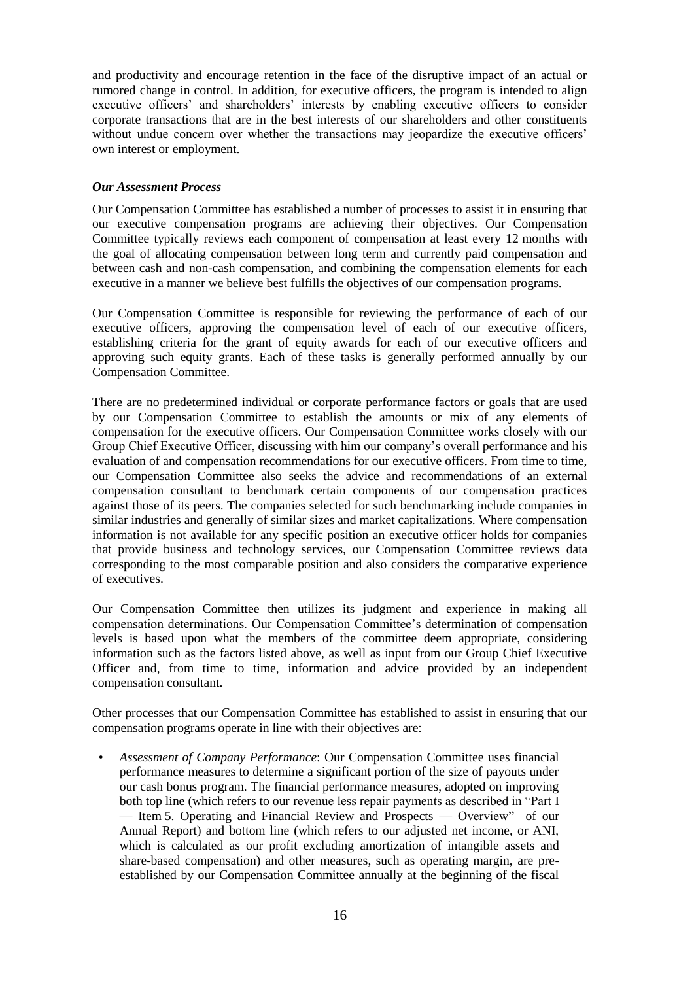and productivity and encourage retention in the face of the disruptive impact of an actual or rumored change in control. In addition, for executive officers, the program is intended to align executive officers' and shareholders' interests by enabling executive officers to consider corporate transactions that are in the best interests of our shareholders and other constituents without undue concern over whether the transactions may jeopardize the executive officers' own interest or employment.

## *Our Assessment Process*

Our Compensation Committee has established a number of processes to assist it in ensuring that our executive compensation programs are achieving their objectives. Our Compensation Committee typically reviews each component of compensation at least every 12 months with the goal of allocating compensation between long term and currently paid compensation and between cash and non-cash compensation, and combining the compensation elements for each executive in a manner we believe best fulfills the objectives of our compensation programs.

Our Compensation Committee is responsible for reviewing the performance of each of our executive officers, approving the compensation level of each of our executive officers, establishing criteria for the grant of equity awards for each of our executive officers and approving such equity grants. Each of these tasks is generally performed annually by our Compensation Committee.

There are no predetermined individual or corporate performance factors or goals that are used by our Compensation Committee to establish the amounts or mix of any elements of compensation for the executive officers. Our Compensation Committee works closely with our Group Chief Executive Officer, discussing with him our company's overall performance and his evaluation of and compensation recommendations for our executive officers. From time to time, our Compensation Committee also seeks the advice and recommendations of an external compensation consultant to benchmark certain components of our compensation practices against those of its peers. The companies selected for such benchmarking include companies in similar industries and generally of similar sizes and market capitalizations. Where compensation information is not available for any specific position an executive officer holds for companies that provide business and technology services, our Compensation Committee reviews data corresponding to the most comparable position and also considers the comparative experience of executives.

Our Compensation Committee then utilizes its judgment and experience in making all compensation determinations. Our Compensation Committee's determination of compensation levels is based upon what the members of the committee deem appropriate, considering information such as the factors listed above, as well as input from our Group Chief Executive Officer and, from time to time, information and advice provided by an independent compensation consultant.

Other processes that our Compensation Committee has established to assist in ensuring that our compensation programs operate in line with their objectives are:

• *Assessment of Company Performance*: Our Compensation Committee uses financial performance measures to determine a significant portion of the size of payouts under our cash bonus program. The financial performance measures, adopted on improving both top line (which refers to our revenue less repair payments as described in "Part I — Item 5. Operating and Financial Review and Prospects — Overview" of our Annual Report) and bottom line (which refers to our adjusted net income, or ANI, which is calculated as our profit excluding amortization of intangible assets and share-based compensation) and other measures, such as operating margin, are preestablished by our Compensation Committee annually at the beginning of the fiscal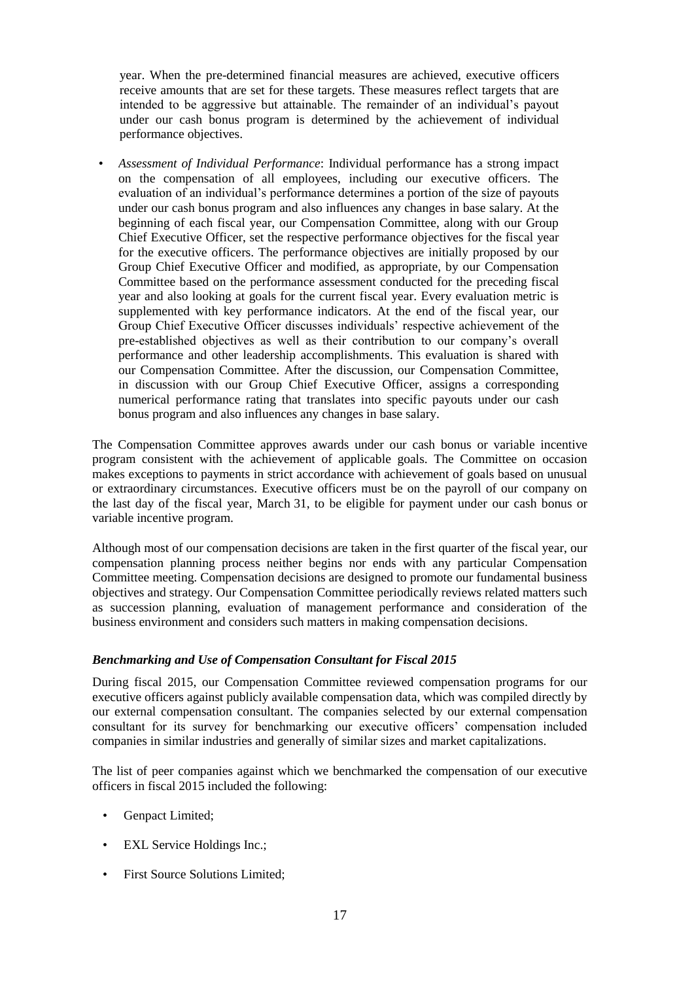year. When the pre-determined financial measures are achieved, executive officers receive amounts that are set for these targets. These measures reflect targets that are intended to be aggressive but attainable. The remainder of an individual's payout under our cash bonus program is determined by the achievement of individual performance objectives.

• *Assessment of Individual Performance*: Individual performance has a strong impact on the compensation of all employees, including our executive officers. The evaluation of an individual's performance determines a portion of the size of payouts under our cash bonus program and also influences any changes in base salary. At the beginning of each fiscal year, our Compensation Committee, along with our Group Chief Executive Officer, set the respective performance objectives for the fiscal year for the executive officers. The performance objectives are initially proposed by our Group Chief Executive Officer and modified, as appropriate, by our Compensation Committee based on the performance assessment conducted for the preceding fiscal year and also looking at goals for the current fiscal year. Every evaluation metric is supplemented with key performance indicators. At the end of the fiscal year, our Group Chief Executive Officer discusses individuals' respective achievement of the pre-established objectives as well as their contribution to our company's overall performance and other leadership accomplishments. This evaluation is shared with our Compensation Committee. After the discussion, our Compensation Committee, in discussion with our Group Chief Executive Officer, assigns a corresponding numerical performance rating that translates into specific payouts under our cash bonus program and also influences any changes in base salary.

The Compensation Committee approves awards under our cash bonus or variable incentive program consistent with the achievement of applicable goals. The Committee on occasion makes exceptions to payments in strict accordance with achievement of goals based on unusual or extraordinary circumstances. Executive officers must be on the payroll of our company on the last day of the fiscal year, March 31, to be eligible for payment under our cash bonus or variable incentive program.

Although most of our compensation decisions are taken in the first quarter of the fiscal year, our compensation planning process neither begins nor ends with any particular Compensation Committee meeting. Compensation decisions are designed to promote our fundamental business objectives and strategy. Our Compensation Committee periodically reviews related matters such as succession planning, evaluation of management performance and consideration of the business environment and considers such matters in making compensation decisions.

#### *Benchmarking and Use of Compensation Consultant for Fiscal 2015*

During fiscal 2015, our Compensation Committee reviewed compensation programs for our executive officers against publicly available compensation data, which was compiled directly by our external compensation consultant. The companies selected by our external compensation consultant for its survey for benchmarking our executive officers' compensation included companies in similar industries and generally of similar sizes and market capitalizations.

The list of peer companies against which we benchmarked the compensation of our executive officers in fiscal 2015 included the following:

- Genpact Limited;
- EXL Service Holdings Inc.;
- First Source Solutions Limited: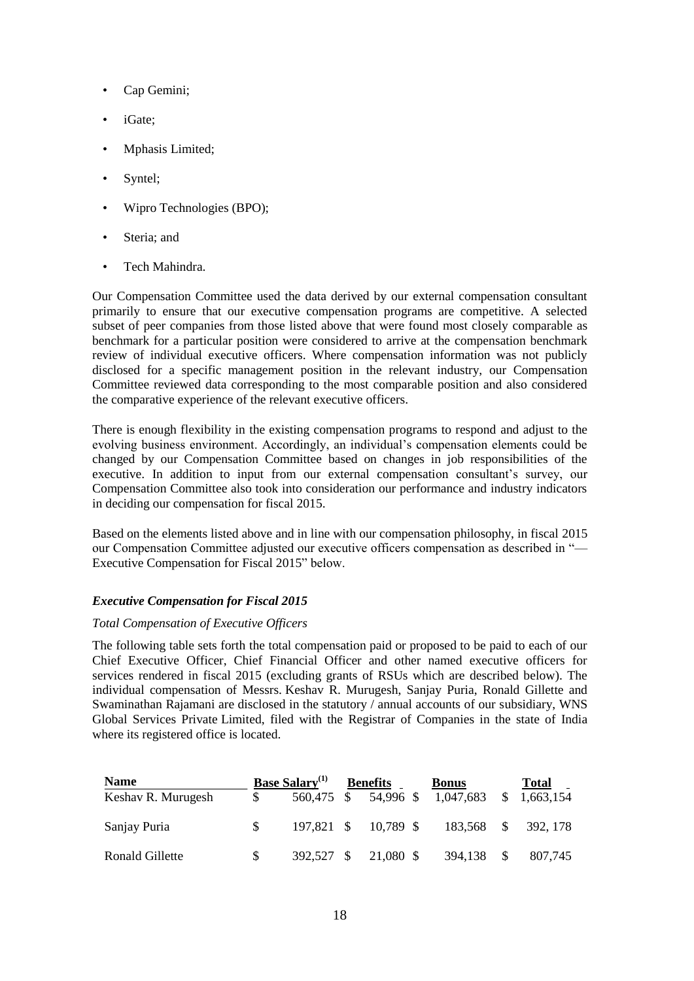- Cap Gemini;
- iGate;
- Mphasis Limited;
- Syntel;
- Wipro Technologies (BPO);
- Steria: and
- Tech Mahindra.

Our Compensation Committee used the data derived by our external compensation consultant primarily to ensure that our executive compensation programs are competitive. A selected subset of peer companies from those listed above that were found most closely comparable as benchmark for a particular position were considered to arrive at the compensation benchmark review of individual executive officers. Where compensation information was not publicly disclosed for a specific management position in the relevant industry, our Compensation Committee reviewed data corresponding to the most comparable position and also considered the comparative experience of the relevant executive officers.

There is enough flexibility in the existing compensation programs to respond and adjust to the evolving business environment. Accordingly, an individual's compensation elements could be changed by our Compensation Committee based on changes in job responsibilities of the executive. In addition to input from our external compensation consultant's survey, our Compensation Committee also took into consideration our performance and industry indicators in deciding our compensation for fiscal 2015.

Based on the elements listed above and in line with our compensation philosophy, in fiscal 2015 our Compensation Committee adjusted our executive officers compensation as described in "— Executive Compensation for Fiscal 2015" below.

#### *Executive Compensation for Fiscal 2015*

#### *Total Compensation of Executive Officers*

The following table sets forth the total compensation paid or proposed to be paid to each of our Chief Executive Officer, Chief Financial Officer and other named executive officers for services rendered in fiscal 2015 (excluding grants of RSUs which are described below). The individual compensation of Messrs. Keshav R. Murugesh, Sanjay Puria, Ronald Gillette and Swaminathan Rajamani are disclosed in the statutory / annual accounts of our subsidiary, WNS Global Services Private Limited, filed with the Registrar of Companies in the state of India where its registered office is located.

| <b>Name</b>        |     | <b>Base Salary</b> <sup>(1)</sup> | <b>Benefits</b> | <b>Bonus</b>                                | <b>Total</b>        |
|--------------------|-----|-----------------------------------|-----------------|---------------------------------------------|---------------------|
| Keshav R. Murugesh |     |                                   |                 | 560,475 \$ 54,996 \$ 1,047,683 \$ 1,663,154 |                     |
| Sanjay Puria       | -SS | 197,821 \$                        | 10,789 \$       |                                             | 183,568 \$ 392, 178 |
| Ronald Gillette    | S.  | 392.527 \$                        | 21,080 \$       | 394,138 \$                                  | 807,745             |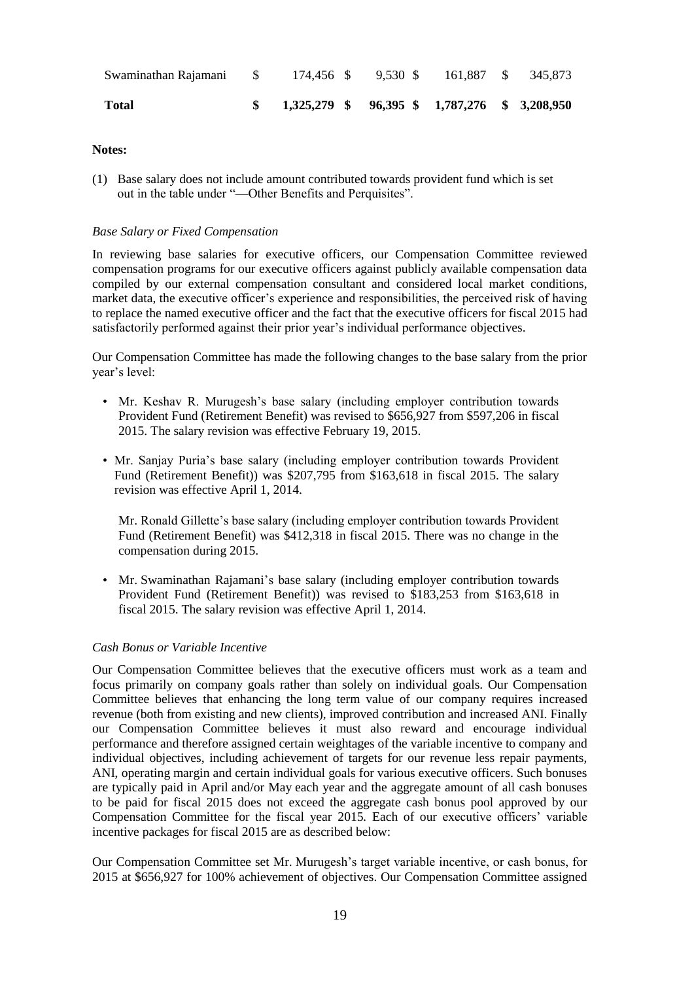| <b>Total</b>                                               |  |  | $$1,325,279$ $$96,395$ $$1,787,276$ $$3,208,950$ |  |
|------------------------------------------------------------|--|--|--------------------------------------------------|--|
| Swaminathan Rajamani \$174,456 \$9,530 \$161,887 \$345,873 |  |  |                                                  |  |

#### **Notes:**

(1) Base salary does not include amount contributed towards provident fund which is set out in the table under "—Other Benefits and Perquisites".

#### *Base Salary or Fixed Compensation*

In reviewing base salaries for executive officers, our Compensation Committee reviewed compensation programs for our executive officers against publicly available compensation data compiled by our external compensation consultant and considered local market conditions, market data, the executive officer's experience and responsibilities, the perceived risk of having to replace the named executive officer and the fact that the executive officers for fiscal 2015 had satisfactorily performed against their prior year's individual performance objectives.

Our Compensation Committee has made the following changes to the base salary from the prior year's level:

- Mr. Keshav R. Murugesh's base salary (including employer contribution towards Provident Fund (Retirement Benefit) was revised to \$656,927 from \$597,206 in fiscal 2015. The salary revision was effective February 19, 2015.
- Mr. Sanjay Puria's base salary (including employer contribution towards Provident Fund (Retirement Benefit)) was \$207,795 from \$163,618 in fiscal 2015. The salary revision was effective April 1, 2014.

 Mr. Ronald Gillette's base salary (including employer contribution towards Provident Fund (Retirement Benefit) was \$412,318 in fiscal 2015. There was no change in the compensation during 2015.

• Mr. Swaminathan Rajamani's base salary (including employer contribution towards Provident Fund (Retirement Benefit)) was revised to \$183,253 from \$163,618 in fiscal 2015. The salary revision was effective April 1, 2014.

#### *Cash Bonus or Variable Incentive*

Our Compensation Committee believes that the executive officers must work as a team and focus primarily on company goals rather than solely on individual goals. Our Compensation Committee believes that enhancing the long term value of our company requires increased revenue (both from existing and new clients), improved contribution and increased ANI. Finally our Compensation Committee believes it must also reward and encourage individual performance and therefore assigned certain weightages of the variable incentive to company and individual objectives, including achievement of targets for our revenue less repair payments, ANI, operating margin and certain individual goals for various executive officers. Such bonuses are typically paid in April and/or May each year and the aggregate amount of all cash bonuses to be paid for fiscal 2015 does not exceed the aggregate cash bonus pool approved by our Compensation Committee for the fiscal year 2015*.* Each of our executive officers' variable incentive packages for fiscal 2015 are as described below:

Our Compensation Committee set Mr. Murugesh's target variable incentive, or cash bonus, for 2015 at \$656,927 for 100% achievement of objectives. Our Compensation Committee assigned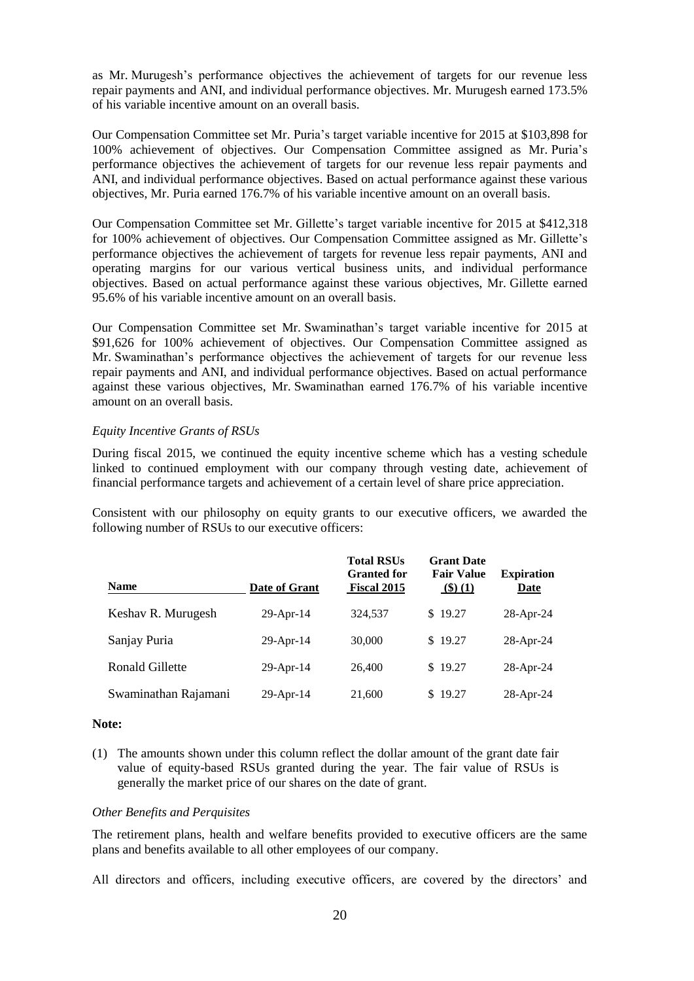as Mr. Murugesh's performance objectives the achievement of targets for our revenue less repair payments and ANI, and individual performance objectives. Mr. Murugesh earned 173.5% of his variable incentive amount on an overall basis.

Our Compensation Committee set Mr. Puria's target variable incentive for 2015 at \$103,898 for 100% achievement of objectives. Our Compensation Committee assigned as Mr. Puria's performance objectives the achievement of targets for our revenue less repair payments and ANI, and individual performance objectives. Based on actual performance against these various objectives, Mr. Puria earned 176.7% of his variable incentive amount on an overall basis.

Our Compensation Committee set Mr. Gillette's target variable incentive for 2015 at \$412,318 for 100% achievement of objectives. Our Compensation Committee assigned as Mr. Gillette's performance objectives the achievement of targets for revenue less repair payments, ANI and operating margins for our various vertical business units, and individual performance objectives. Based on actual performance against these various objectives, Mr. Gillette earned 95.6% of his variable incentive amount on an overall basis.

Our Compensation Committee set Mr. Swaminathan's target variable incentive for 2015 at \$91,626 for 100% achievement of objectives. Our Compensation Committee assigned as Mr. Swaminathan's performance objectives the achievement of targets for our revenue less repair payments and ANI, and individual performance objectives. Based on actual performance against these various objectives, Mr. Swaminathan earned 176.7% of his variable incentive amount on an overall basis.

#### *Equity Incentive Grants of RSUs*

During fiscal 2015, we continued the equity incentive scheme which has a vesting schedule linked to continued employment with our company through vesting date, achievement of financial performance targets and achievement of a certain level of share price appreciation.

Consistent with our philosophy on equity grants to our executive officers, we awarded the following number of RSUs to our executive officers:

| <b>Name</b>          | Date of Grant | <b>Total RSUs</b><br><b>Granted for</b><br>Fiscal 2015 | <b>Grant Date</b><br><b>Fair Value</b><br>(3)(1) | <b>Expiration</b><br>Date |
|----------------------|---------------|--------------------------------------------------------|--------------------------------------------------|---------------------------|
| Keshav R. Murugesh   | 29-Apr-14     | 324.537                                                | \$19.27                                          | $28$ -Apr-24              |
| Sanjay Puria         | $29$ -Apr-14  | 30,000                                                 | \$19.27                                          | $28$ -Apr-24              |
| Ronald Gillette      | $29$ -Apr-14  | 26,400                                                 | \$19.27                                          | $28$ -Apr-24              |
| Swaminathan Rajamani | $29$ -Apr-14  | 21,600                                                 | \$19.27                                          | $28$ -Apr-24              |

#### **Note:**

(1) The amounts shown under this column reflect the dollar amount of the grant date fair value of equity-based RSUs granted during the year. The fair value of RSUs is generally the market price of our shares on the date of grant.

#### *Other Benefits and Perquisites*

The retirement plans, health and welfare benefits provided to executive officers are the same plans and benefits available to all other employees of our company.

All directors and officers, including executive officers, are covered by the directors' and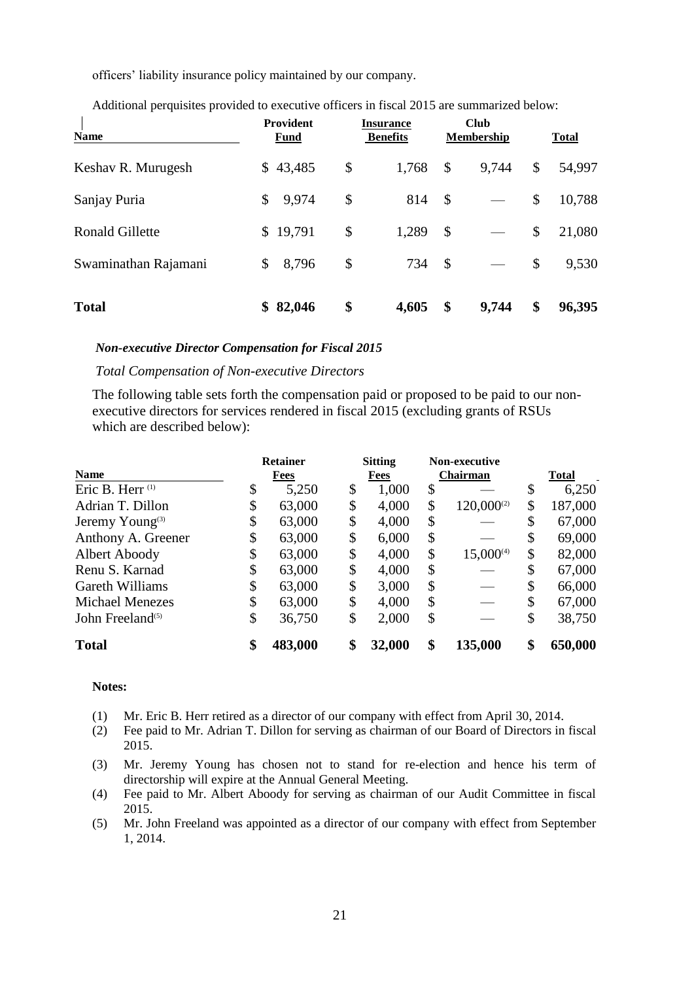officers' liability insurance policy maintained by our company.

| <b>Name</b>            | <b>Provident</b><br>Fund | <b>Insurance</b><br><b>Benefits</b> |       | <b>Club</b><br>Membership |       | <b>Total</b> |        |
|------------------------|--------------------------|-------------------------------------|-------|---------------------------|-------|--------------|--------|
| Keshav R. Murugesh     | 43,485<br>\$             | \$                                  | 1,768 | \$                        | 9,744 | \$           | 54,997 |
| Sanjay Puria           | \$<br>9,974              | \$                                  | 814   | \$                        |       | \$           | 10,788 |
| <b>Ronald Gillette</b> | 19,791<br>\$             | \$                                  | 1,289 | \$                        |       | \$           | 21,080 |
| Swaminathan Rajamani   | 8,796<br>\$              | \$                                  | 734   | \$                        |       | \$           | 9,530  |
| <b>Total</b>           | 82,046<br>\$             | \$                                  | 4,605 | \$                        | 9,744 | \$           | 96,395 |

Additional perquisites provided to executive officers in fiscal 2015 are summarized below:

#### *Non-executive Director Compensation for Fiscal 2015*

#### *Total Compensation of Non-executive Directors*

The following table sets forth the compensation paid or proposed to be paid to our nonexecutive directors for services rendered in fiscal 2015 (excluding grants of RSUs which are described below):

|                              | <b>Retainer</b> |         | <b>Sitting</b> |                 | Non-executive   |              |         |
|------------------------------|-----------------|---------|----------------|-----------------|-----------------|--------------|---------|
| <b>Name</b>                  |                 | Fees    | Fees           | <b>Chairman</b> |                 | <b>Total</b> |         |
| Eric B. Herr <sup>(1)</sup>  | Φ               | 5,250   | \$<br>1,000    | \$              |                 | \$           | 6,250   |
| Adrian T. Dillon             | \$              | 63,000  | \$<br>4,000    | \$              | $120,000^{(2)}$ | \$           | 187,000 |
| Jeremy Young <sup>(3)</sup>  | \$              | 63,000  | \$<br>4,000    | \$              |                 | \$           | 67,000  |
| Anthony A. Greener           | \$              | 63,000  | \$<br>6,000    | \$              |                 | \$           | 69,000  |
| Albert Aboody                | \$              | 63,000  | \$<br>4,000    | \$              | $15,000^{(4)}$  | \$           | 82,000  |
| Renu S. Karnad               | \$              | 63,000  | \$<br>4,000    | \$              |                 | \$           | 67,000  |
| Gareth Williams              | \$              | 63,000  | \$<br>3,000    | \$              |                 | \$           | 66,000  |
| <b>Michael Menezes</b>       | \$              | 63,000  | \$<br>4,000    | S               |                 | \$           | 67,000  |
| John Freeland <sup>(5)</sup> | \$              | 36,750  | \$<br>2,000    | \$              |                 | \$           | 38,750  |
| <b>Total</b>                 | \$              | 483,000 | \$<br>32,000   | \$              | 135,000         | \$           | 650,000 |

# **Notes:**

- (1) Mr. Eric B. Herr retired as a director of our company with effect from April 30, 2014.
- (2) Fee paid to Mr. Adrian T. Dillon for serving as chairman of our Board of Directors in fiscal 2015.
- (3) Mr. Jeremy Young has chosen not to stand for re-election and hence his term of directorship will expire at the Annual General Meeting.
- (4) Fee paid to Mr. Albert Aboody for serving as chairman of our Audit Committee in fiscal 2015.
- (5) Mr. John Freeland was appointed as a director of our company with effect from September 1, 2014.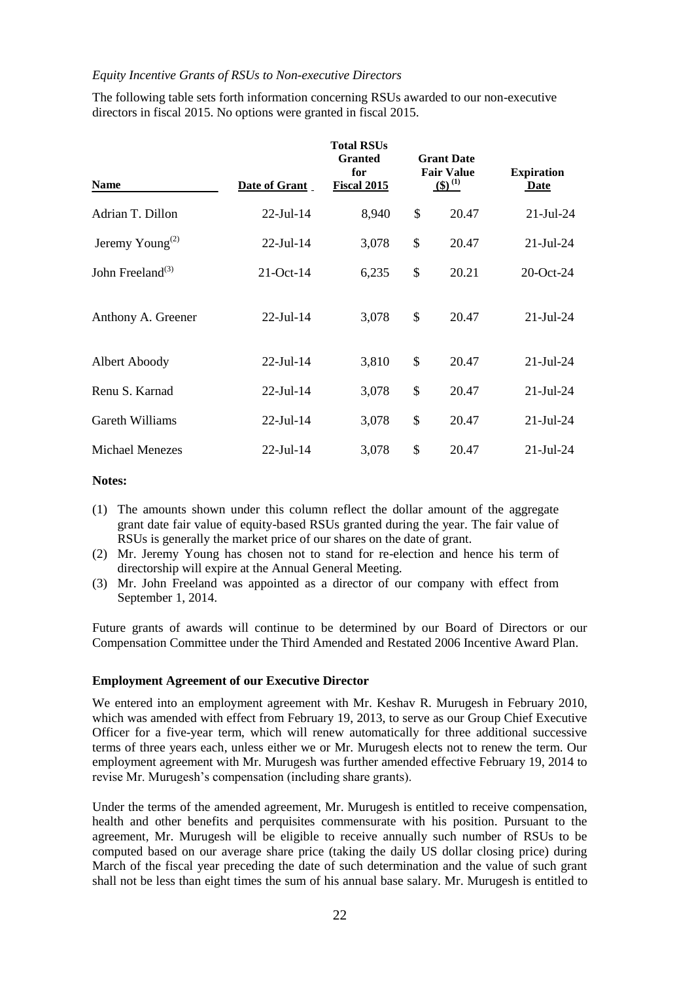#### *Equity Incentive Grants of RSUs to Non-executive Directors*

| <b>Name</b>                 | Date of Grant | <b>Total RSUs</b><br><b>Granted</b><br>for<br><b>Fiscal 2015</b> | <b>Grant Date</b><br><b>Fair Value</b><br>$(5)^{(1)}$ | <b>Expiration</b><br><b>Date</b> |
|-----------------------------|---------------|------------------------------------------------------------------|-------------------------------------------------------|----------------------------------|
| Adrian T. Dillon            | $22$ -Jul-14  | 8,940                                                            | \$<br>20.47                                           | $21-Jul-24$                      |
| Jeremy Young <sup>(2)</sup> | $22$ -Jul-14  | 3,078                                                            | \$<br>20.47                                           | $21-Jul-24$                      |
| John Freeland $^{(3)}$      | $21$ -Oct-14  | 6,235                                                            | \$<br>20.21                                           | 20-Oct-24                        |
| Anthony A. Greener          | $22$ -Jul-14  | 3,078                                                            | \$<br>20.47                                           | $21$ -Jul-24                     |
| Albert Aboody               | $22$ -Jul-14  | 3,810                                                            | \$<br>20.47                                           | $21-Jul-24$                      |
| Renu S. Karnad              | $22$ -Jul-14  | 3,078                                                            | \$<br>20.47                                           | $21-Jul-24$                      |
| Gareth Williams             | $22$ -Jul-14  | 3,078                                                            | \$<br>20.47                                           | $21-Jul-24$                      |
| <b>Michael Menezes</b>      | 22-Jul-14     | 3,078                                                            | \$<br>20.47                                           | $21-Jul-24$                      |

The following table sets forth information concerning RSUs awarded to our non-executive directors in fiscal 2015. No options were granted in fiscal 2015.

#### **Notes:**

- (1) The amounts shown under this column reflect the dollar amount of the aggregate grant date fair value of equity-based RSUs granted during the year. The fair value of RSUs is generally the market price of our shares on the date of grant.
- (2) Mr. Jeremy Young has chosen not to stand for re-election and hence his term of directorship will expire at the Annual General Meeting.
- (3) Mr. John Freeland was appointed as a director of our company with effect from September 1, 2014.

Future grants of awards will continue to be determined by our Board of Directors or our Compensation Committee under the Third Amended and Restated 2006 Incentive Award Plan.

#### **Employment Agreement of our Executive Director**

We entered into an employment agreement with Mr. Keshav R. Murugesh in February 2010, which was amended with effect from February 19, 2013, to serve as our Group Chief Executive Officer for a five-year term, which will renew automatically for three additional successive terms of three years each, unless either we or Mr. Murugesh elects not to renew the term. Our employment agreement with Mr. Murugesh was further amended effective February 19, 2014 to revise Mr. Murugesh's compensation (including share grants).

Under the terms of the amended agreement, Mr. Murugesh is entitled to receive compensation, health and other benefits and perquisites commensurate with his position. Pursuant to the agreement, Mr. Murugesh will be eligible to receive annually such number of RSUs to be computed based on our average share price (taking the daily US dollar closing price) during March of the fiscal year preceding the date of such determination and the value of such grant shall not be less than eight times the sum of his annual base salary. Mr. Murugesh is entitled to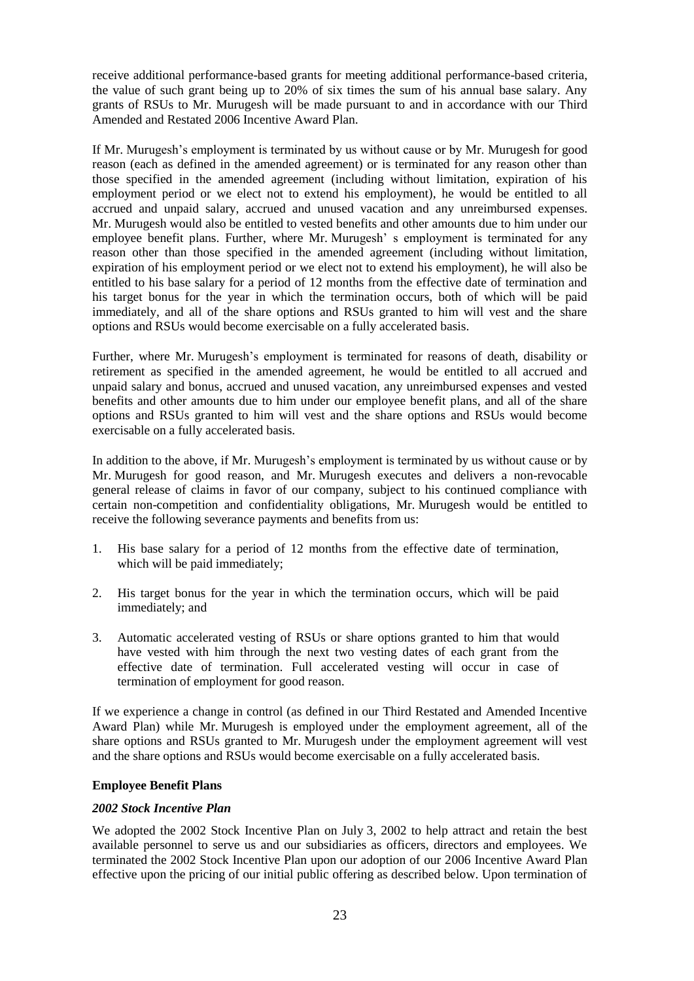receive additional performance-based grants for meeting additional performance-based criteria, the value of such grant being up to 20% of six times the sum of his annual base salary. Any grants of RSUs to Mr. Murugesh will be made pursuant to and in accordance with our Third Amended and Restated 2006 Incentive Award Plan.

If Mr. Murugesh's employment is terminated by us without cause or by Mr. Murugesh for good reason (each as defined in the amended agreement) or is terminated for any reason other than those specified in the amended agreement (including without limitation, expiration of his employment period or we elect not to extend his employment), he would be entitled to all accrued and unpaid salary, accrued and unused vacation and any unreimbursed expenses. Mr. Murugesh would also be entitled to vested benefits and other amounts due to him under our employee benefit plans. Further, where Mr. Murugesh' s employment is terminated for any reason other than those specified in the amended agreement (including without limitation, expiration of his employment period or we elect not to extend his employment), he will also be entitled to his base salary for a period of 12 months from the effective date of termination and his target bonus for the year in which the termination occurs, both of which will be paid immediately, and all of the share options and RSUs granted to him will vest and the share options and RSUs would become exercisable on a fully accelerated basis.

Further, where Mr. Murugesh's employment is terminated for reasons of death, disability or retirement as specified in the amended agreement, he would be entitled to all accrued and unpaid salary and bonus, accrued and unused vacation, any unreimbursed expenses and vested benefits and other amounts due to him under our employee benefit plans, and all of the share options and RSUs granted to him will vest and the share options and RSUs would become exercisable on a fully accelerated basis.

In addition to the above, if Mr. Murugesh's employment is terminated by us without cause or by Mr. Murugesh for good reason, and Mr. Murugesh executes and delivers a non-revocable general release of claims in favor of our company, subject to his continued compliance with certain non-competition and confidentiality obligations, Mr. Murugesh would be entitled to receive the following severance payments and benefits from us:

- 1. His base salary for a period of 12 months from the effective date of termination, which will be paid immediately;
- 2. His target bonus for the year in which the termination occurs, which will be paid immediately; and
- 3. Automatic accelerated vesting of RSUs or share options granted to him that would have vested with him through the next two vesting dates of each grant from the effective date of termination. Full accelerated vesting will occur in case of termination of employment for good reason.

If we experience a change in control (as defined in our Third Restated and Amended Incentive Award Plan) while Mr. Murugesh is employed under the employment agreement, all of the share options and RSUs granted to Mr. Murugesh under the employment agreement will vest and the share options and RSUs would become exercisable on a fully accelerated basis.

#### **Employee Benefit Plans**

#### *2002 Stock Incentive Plan*

We adopted the 2002 Stock Incentive Plan on July 3, 2002 to help attract and retain the best available personnel to serve us and our subsidiaries as officers, directors and employees. We terminated the 2002 Stock Incentive Plan upon our adoption of our 2006 Incentive Award Plan effective upon the pricing of our initial public offering as described below. Upon termination of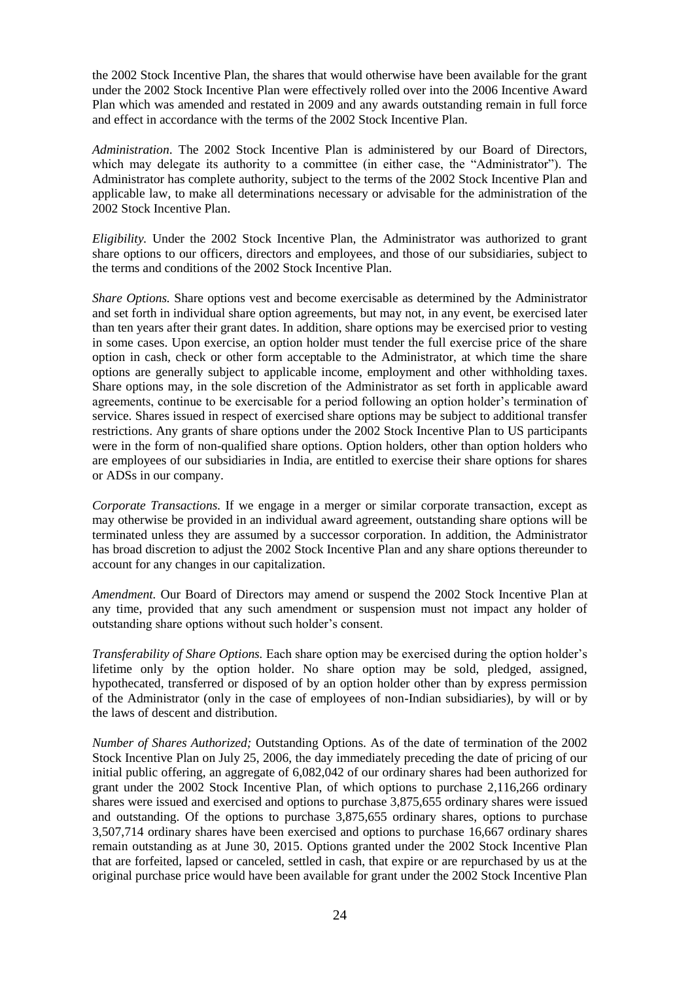the 2002 Stock Incentive Plan, the shares that would otherwise have been available for the grant under the 2002 Stock Incentive Plan were effectively rolled over into the 2006 Incentive Award Plan which was amended and restated in 2009 and any awards outstanding remain in full force and effect in accordance with the terms of the 2002 Stock Incentive Plan.

*Administration*. The 2002 Stock Incentive Plan is administered by our Board of Directors, which may delegate its authority to a committee (in either case, the "Administrator"). The Administrator has complete authority, subject to the terms of the 2002 Stock Incentive Plan and applicable law, to make all determinations necessary or advisable for the administration of the 2002 Stock Incentive Plan.

*Eligibility.* Under the 2002 Stock Incentive Plan, the Administrator was authorized to grant share options to our officers, directors and employees, and those of our subsidiaries, subject to the terms and conditions of the 2002 Stock Incentive Plan.

*Share Options.* Share options vest and become exercisable as determined by the Administrator and set forth in individual share option agreements, but may not, in any event, be exercised later than ten years after their grant dates. In addition, share options may be exercised prior to vesting in some cases. Upon exercise, an option holder must tender the full exercise price of the share option in cash, check or other form acceptable to the Administrator, at which time the share options are generally subject to applicable income, employment and other withholding taxes. Share options may, in the sole discretion of the Administrator as set forth in applicable award agreements, continue to be exercisable for a period following an option holder's termination of service. Shares issued in respect of exercised share options may be subject to additional transfer restrictions. Any grants of share options under the 2002 Stock Incentive Plan to US participants were in the form of non-qualified share options. Option holders, other than option holders who are employees of our subsidiaries in India, are entitled to exercise their share options for shares or ADSs in our company.

*Corporate Transactions.* If we engage in a merger or similar corporate transaction, except as may otherwise be provided in an individual award agreement, outstanding share options will be terminated unless they are assumed by a successor corporation. In addition, the Administrator has broad discretion to adjust the 2002 Stock Incentive Plan and any share options thereunder to account for any changes in our capitalization.

*Amendment.* Our Board of Directors may amend or suspend the 2002 Stock Incentive Plan at any time, provided that any such amendment or suspension must not impact any holder of outstanding share options without such holder's consent.

*Transferability of Share Options.* Each share option may be exercised during the option holder's lifetime only by the option holder. No share option may be sold, pledged, assigned, hypothecated, transferred or disposed of by an option holder other than by express permission of the Administrator (only in the case of employees of non-Indian subsidiaries), by will or by the laws of descent and distribution.

*Number of Shares Authorized;* Outstanding Options. As of the date of termination of the 2002 Stock Incentive Plan on July 25, 2006, the day immediately preceding the date of pricing of our initial public offering, an aggregate of 6,082,042 of our ordinary shares had been authorized for grant under the 2002 Stock Incentive Plan, of which options to purchase 2,116,266 ordinary shares were issued and exercised and options to purchase 3,875,655 ordinary shares were issued and outstanding. Of the options to purchase 3,875,655 ordinary shares, options to purchase 3,507,714 ordinary shares have been exercised and options to purchase 16,667 ordinary shares remain outstanding as at June 30, 2015. Options granted under the 2002 Stock Incentive Plan that are forfeited, lapsed or canceled, settled in cash, that expire or are repurchased by us at the original purchase price would have been available for grant under the 2002 Stock Incentive Plan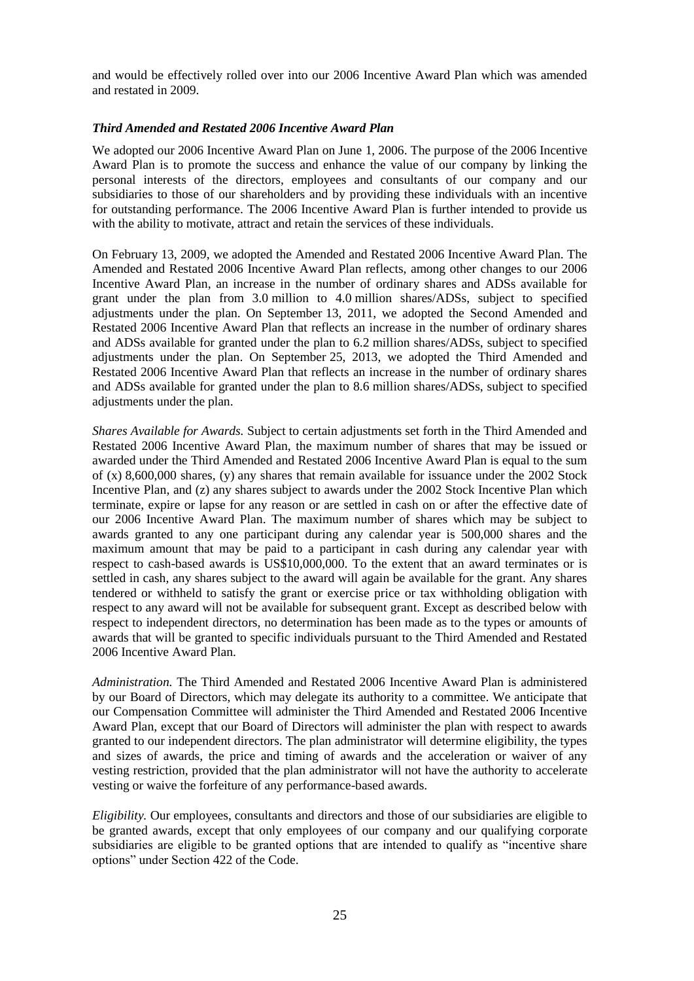and would be effectively rolled over into our 2006 Incentive Award Plan which was amended and restated in 2009.

### *Third Amended and Restated 2006 Incentive Award Plan*

We adopted our 2006 Incentive Award Plan on June 1, 2006. The purpose of the 2006 Incentive Award Plan is to promote the success and enhance the value of our company by linking the personal interests of the directors, employees and consultants of our company and our subsidiaries to those of our shareholders and by providing these individuals with an incentive for outstanding performance. The 2006 Incentive Award Plan is further intended to provide us with the ability to motivate, attract and retain the services of these individuals.

On February 13, 2009, we adopted the Amended and Restated 2006 Incentive Award Plan. The Amended and Restated 2006 Incentive Award Plan reflects, among other changes to our 2006 Incentive Award Plan, an increase in the number of ordinary shares and ADSs available for grant under the plan from 3.0 million to 4.0 million shares/ADSs, subject to specified adjustments under the plan. On September 13, 2011, we adopted the Second Amended and Restated 2006 Incentive Award Plan that reflects an increase in the number of ordinary shares and ADSs available for granted under the plan to 6.2 million shares/ADSs, subject to specified adjustments under the plan. On September 25, 2013, we adopted the Third Amended and Restated 2006 Incentive Award Plan that reflects an increase in the number of ordinary shares and ADSs available for granted under the plan to 8.6 million shares/ADSs, subject to specified adjustments under the plan.

*Shares Available for Awards.* Subject to certain adjustments set forth in the Third Amended and Restated 2006 Incentive Award Plan, the maximum number of shares that may be issued or awarded under the Third Amended and Restated 2006 Incentive Award Plan is equal to the sum of (x) 8,600,000 shares, (y) any shares that remain available for issuance under the 2002 Stock Incentive Plan, and (z) any shares subject to awards under the 2002 Stock Incentive Plan which terminate, expire or lapse for any reason or are settled in cash on or after the effective date of our 2006 Incentive Award Plan. The maximum number of shares which may be subject to awards granted to any one participant during any calendar year is 500,000 shares and the maximum amount that may be paid to a participant in cash during any calendar year with respect to cash-based awards is US\$10,000,000. To the extent that an award terminates or is settled in cash, any shares subject to the award will again be available for the grant. Any shares tendered or withheld to satisfy the grant or exercise price or tax withholding obligation with respect to any award will not be available for subsequent grant. Except as described below with respect to independent directors, no determination has been made as to the types or amounts of awards that will be granted to specific individuals pursuant to the Third Amended and Restated 2006 Incentive Award Plan.

*Administration.* The Third Amended and Restated 2006 Incentive Award Plan is administered by our Board of Directors, which may delegate its authority to a committee. We anticipate that our Compensation Committee will administer the Third Amended and Restated 2006 Incentive Award Plan, except that our Board of Directors will administer the plan with respect to awards granted to our independent directors. The plan administrator will determine eligibility, the types and sizes of awards, the price and timing of awards and the acceleration or waiver of any vesting restriction, provided that the plan administrator will not have the authority to accelerate vesting or waive the forfeiture of any performance-based awards.

*Eligibility.* Our employees, consultants and directors and those of our subsidiaries are eligible to be granted awards, except that only employees of our company and our qualifying corporate subsidiaries are eligible to be granted options that are intended to qualify as "incentive share" options" under Section 422 of the Code.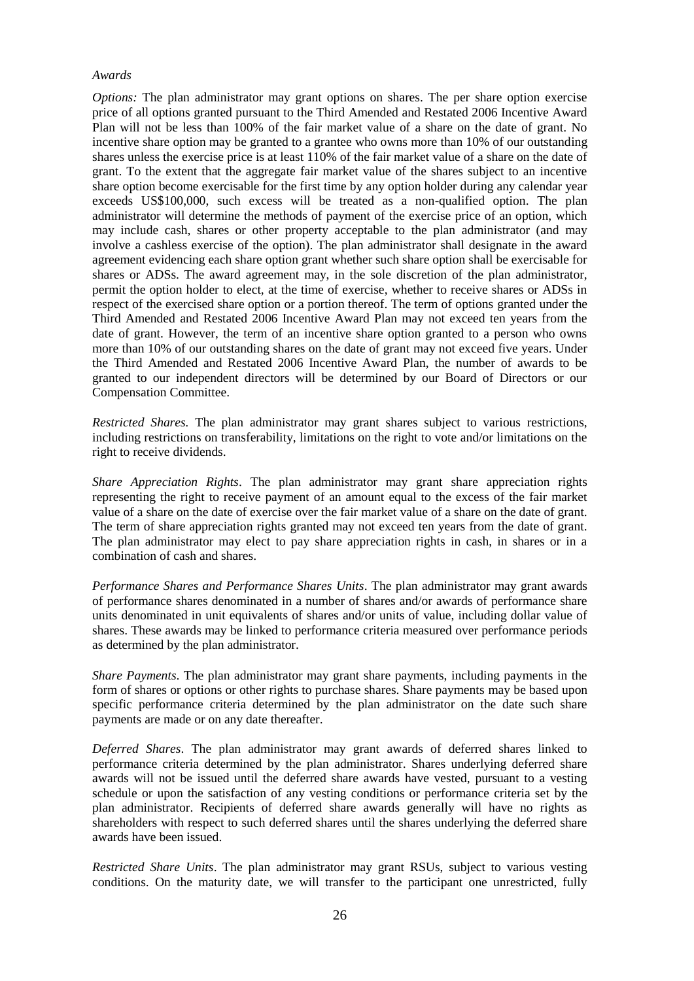#### *Awards*

*Options:* The plan administrator may grant options on shares. The per share option exercise price of all options granted pursuant to the Third Amended and Restated 2006 Incentive Award Plan will not be less than 100% of the fair market value of a share on the date of grant. No incentive share option may be granted to a grantee who owns more than 10% of our outstanding shares unless the exercise price is at least 110% of the fair market value of a share on the date of grant. To the extent that the aggregate fair market value of the shares subject to an incentive share option become exercisable for the first time by any option holder during any calendar year exceeds US\$100,000, such excess will be treated as a non-qualified option. The plan administrator will determine the methods of payment of the exercise price of an option, which may include cash, shares or other property acceptable to the plan administrator (and may involve a cashless exercise of the option). The plan administrator shall designate in the award agreement evidencing each share option grant whether such share option shall be exercisable for shares or ADSs. The award agreement may, in the sole discretion of the plan administrator, permit the option holder to elect, at the time of exercise, whether to receive shares or ADSs in respect of the exercised share option or a portion thereof. The term of options granted under the Third Amended and Restated 2006 Incentive Award Plan may not exceed ten years from the date of grant. However, the term of an incentive share option granted to a person who owns more than 10% of our outstanding shares on the date of grant may not exceed five years. Under the Third Amended and Restated 2006 Incentive Award Plan, the number of awards to be granted to our independent directors will be determined by our Board of Directors or our Compensation Committee.

*Restricted Shares.* The plan administrator may grant shares subject to various restrictions, including restrictions on transferability, limitations on the right to vote and/or limitations on the right to receive dividends.

*Share Appreciation Rights*. The plan administrator may grant share appreciation rights representing the right to receive payment of an amount equal to the excess of the fair market value of a share on the date of exercise over the fair market value of a share on the date of grant. The term of share appreciation rights granted may not exceed ten years from the date of grant. The plan administrator may elect to pay share appreciation rights in cash, in shares or in a combination of cash and shares.

*Performance Shares and Performance Shares Units*. The plan administrator may grant awards of performance shares denominated in a number of shares and/or awards of performance share units denominated in unit equivalents of shares and/or units of value, including dollar value of shares. These awards may be linked to performance criteria measured over performance periods as determined by the plan administrator.

*Share Payments*. The plan administrator may grant share payments, including payments in the form of shares or options or other rights to purchase shares. Share payments may be based upon specific performance criteria determined by the plan administrator on the date such share payments are made or on any date thereafter.

*Deferred Shares*. The plan administrator may grant awards of deferred shares linked to performance criteria determined by the plan administrator. Shares underlying deferred share awards will not be issued until the deferred share awards have vested, pursuant to a vesting schedule or upon the satisfaction of any vesting conditions or performance criteria set by the plan administrator. Recipients of deferred share awards generally will have no rights as shareholders with respect to such deferred shares until the shares underlying the deferred share awards have been issued.

*Restricted Share Units*. The plan administrator may grant RSUs, subject to various vesting conditions. On the maturity date, we will transfer to the participant one unrestricted, fully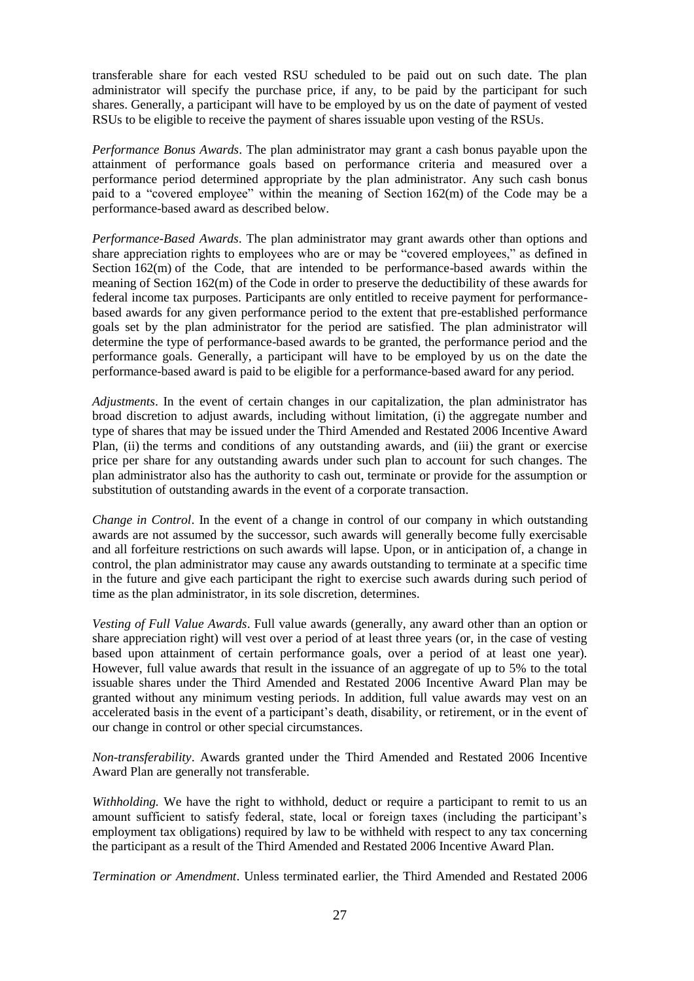transferable share for each vested RSU scheduled to be paid out on such date. The plan administrator will specify the purchase price, if any, to be paid by the participant for such shares. Generally, a participant will have to be employed by us on the date of payment of vested RSUs to be eligible to receive the payment of shares issuable upon vesting of the RSUs.

*Performance Bonus Awards*. The plan administrator may grant a cash bonus payable upon the attainment of performance goals based on performance criteria and measured over a performance period determined appropriate by the plan administrator. Any such cash bonus paid to a "covered employee" within the meaning of Section  $162(m)$  of the Code may be a performance-based award as described below.

*Performance-Based Awards*. The plan administrator may grant awards other than options and share appreciation rights to employees who are or may be "covered employees," as defined in Section 162(m) of the Code, that are intended to be performance-based awards within the meaning of Section 162(m) of the Code in order to preserve the deductibility of these awards for federal income tax purposes. Participants are only entitled to receive payment for performancebased awards for any given performance period to the extent that pre-established performance goals set by the plan administrator for the period are satisfied. The plan administrator will determine the type of performance-based awards to be granted, the performance period and the performance goals. Generally, a participant will have to be employed by us on the date the performance-based award is paid to be eligible for a performance-based award for any period.

*Adjustments*. In the event of certain changes in our capitalization, the plan administrator has broad discretion to adjust awards, including without limitation, (i) the aggregate number and type of shares that may be issued under the Third Amended and Restated 2006 Incentive Award Plan, (ii) the terms and conditions of any outstanding awards, and (iii) the grant or exercise price per share for any outstanding awards under such plan to account for such changes. The plan administrator also has the authority to cash out, terminate or provide for the assumption or substitution of outstanding awards in the event of a corporate transaction.

*Change in Control*. In the event of a change in control of our company in which outstanding awards are not assumed by the successor, such awards will generally become fully exercisable and all forfeiture restrictions on such awards will lapse. Upon, or in anticipation of, a change in control, the plan administrator may cause any awards outstanding to terminate at a specific time in the future and give each participant the right to exercise such awards during such period of time as the plan administrator, in its sole discretion, determines.

*Vesting of Full Value Awards*. Full value awards (generally, any award other than an option or share appreciation right) will vest over a period of at least three years (or, in the case of vesting based upon attainment of certain performance goals, over a period of at least one year). However, full value awards that result in the issuance of an aggregate of up to 5% to the total issuable shares under the Third Amended and Restated 2006 Incentive Award Plan may be granted without any minimum vesting periods. In addition, full value awards may vest on an accelerated basis in the event of a participant's death, disability, or retirement, or in the event of our change in control or other special circumstances.

*Non-transferability*. Awards granted under the Third Amended and Restated 2006 Incentive Award Plan are generally not transferable.

*Withholding.* We have the right to withhold, deduct or require a participant to remit to us an amount sufficient to satisfy federal, state, local or foreign taxes (including the participant's employment tax obligations) required by law to be withheld with respect to any tax concerning the participant as a result of the Third Amended and Restated 2006 Incentive Award Plan.

*Termination or Amendment*. Unless terminated earlier, the Third Amended and Restated 2006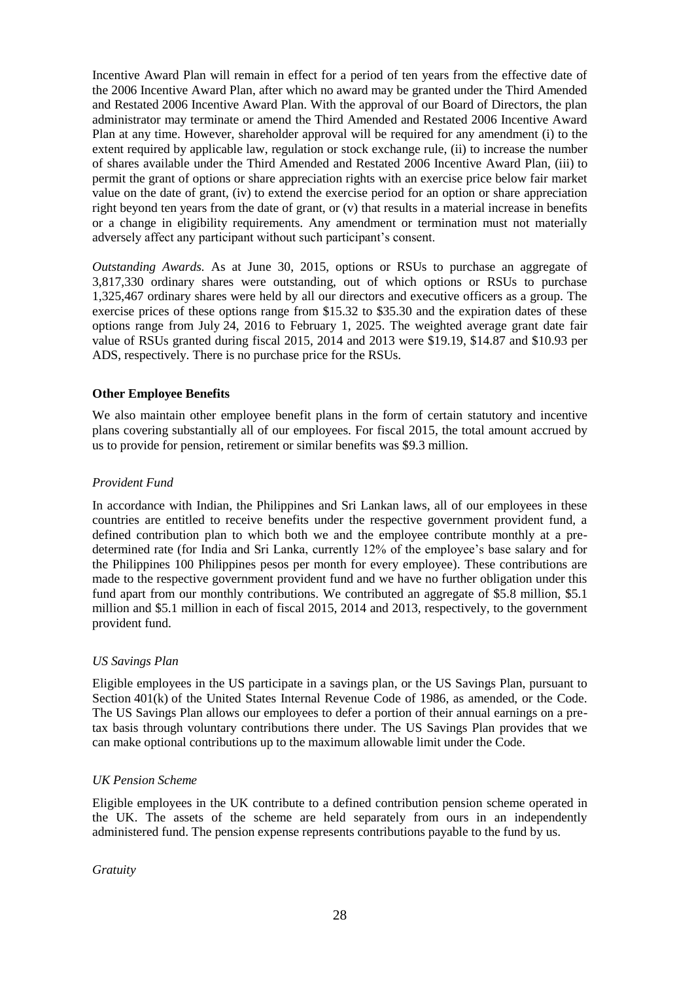Incentive Award Plan will remain in effect for a period of ten years from the effective date of the 2006 Incentive Award Plan, after which no award may be granted under the Third Amended and Restated 2006 Incentive Award Plan. With the approval of our Board of Directors, the plan administrator may terminate or amend the Third Amended and Restated 2006 Incentive Award Plan at any time. However, shareholder approval will be required for any amendment (i) to the extent required by applicable law, regulation or stock exchange rule, (ii) to increase the number of shares available under the Third Amended and Restated 2006 Incentive Award Plan, (iii) to permit the grant of options or share appreciation rights with an exercise price below fair market value on the date of grant, (iv) to extend the exercise period for an option or share appreciation right beyond ten years from the date of grant, or (v) that results in a material increase in benefits or a change in eligibility requirements. Any amendment or termination must not materially adversely affect any participant without such participant's consent.

*Outstanding Awards.* As at June 30, 2015, options or RSUs to purchase an aggregate of 3,817,330 ordinary shares were outstanding, out of which options or RSUs to purchase 1,325,467 ordinary shares were held by all our directors and executive officers as a group. The exercise prices of these options range from \$15.32 to \$35.30 and the expiration dates of these options range from July 24, 2016 to February 1, 2025. The weighted average grant date fair value of RSUs granted during fiscal 2015, 2014 and 2013 were \$19.19, \$14.87 and \$10.93 per ADS, respectively. There is no purchase price for the RSUs.

## **Other Employee Benefits**

We also maintain other employee benefit plans in the form of certain statutory and incentive plans covering substantially all of our employees. For fiscal 2015, the total amount accrued by us to provide for pension, retirement or similar benefits was \$9.3 million.

## *Provident Fund*

In accordance with Indian, the Philippines and Sri Lankan laws, all of our employees in these countries are entitled to receive benefits under the respective government provident fund, a defined contribution plan to which both we and the employee contribute monthly at a predetermined rate (for India and Sri Lanka, currently 12% of the employee's base salary and for the Philippines 100 Philippines pesos per month for every employee). These contributions are made to the respective government provident fund and we have no further obligation under this fund apart from our monthly contributions. We contributed an aggregate of \$5.8 million, \$5.1 million and \$5.1 million in each of fiscal 2015, 2014 and 2013, respectively, to the government provident fund.

#### *US Savings Plan*

Eligible employees in the US participate in a savings plan, or the US Savings Plan, pursuant to Section 401(k) of the United States Internal Revenue Code of 1986, as amended, or the Code. The US Savings Plan allows our employees to defer a portion of their annual earnings on a pretax basis through voluntary contributions there under. The US Savings Plan provides that we can make optional contributions up to the maximum allowable limit under the Code.

#### *UK Pension Scheme*

Eligible employees in the UK contribute to a defined contribution pension scheme operated in the UK. The assets of the scheme are held separately from ours in an independently administered fund. The pension expense represents contributions payable to the fund by us.

*Gratuity*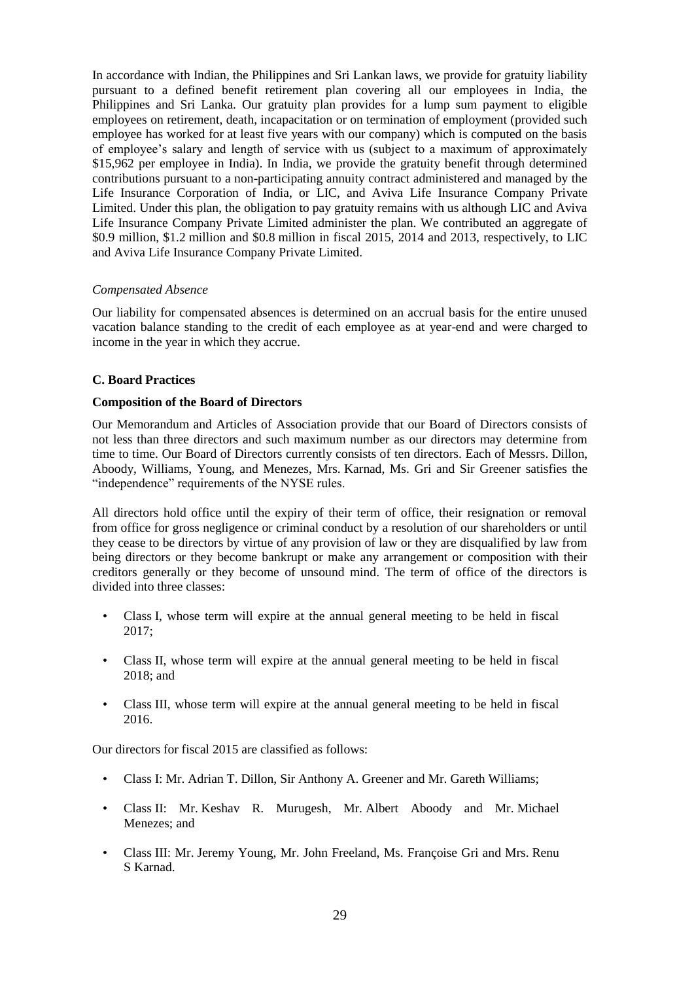In accordance with Indian, the Philippines and Sri Lankan laws, we provide for gratuity liability pursuant to a defined benefit retirement plan covering all our employees in India, the Philippines and Sri Lanka. Our gratuity plan provides for a lump sum payment to eligible employees on retirement, death, incapacitation or on termination of employment (provided such employee has worked for at least five years with our company) which is computed on the basis of employee's salary and length of service with us (subject to a maximum of approximately \$15,962 per employee in India). In India, we provide the gratuity benefit through determined contributions pursuant to a non-participating annuity contract administered and managed by the Life Insurance Corporation of India, or LIC, and Aviva Life Insurance Company Private Limited. Under this plan, the obligation to pay gratuity remains with us although LIC and Aviva Life Insurance Company Private Limited administer the plan. We contributed an aggregate of \$0.9 million, \$1.2 million and \$0.8 million in fiscal 2015, 2014 and 2013, respectively, to LIC and Aviva Life Insurance Company Private Limited.

#### *Compensated Absence*

Our liability for compensated absences is determined on an accrual basis for the entire unused vacation balance standing to the credit of each employee as at year-end and were charged to income in the year in which they accrue.

## **C. Board Practices**

#### **Composition of the Board of Directors**

Our Memorandum and Articles of Association provide that our Board of Directors consists of not less than three directors and such maximum number as our directors may determine from time to time. Our Board of Directors currently consists of ten directors. Each of Messrs. Dillon, Aboody, Williams, Young, and Menezes, Mrs. Karnad, Ms. Gri and Sir Greener satisfies the "independence" requirements of the NYSE rules.

All directors hold office until the expiry of their term of office, their resignation or removal from office for gross negligence or criminal conduct by a resolution of our shareholders or until they cease to be directors by virtue of any provision of law or they are disqualified by law from being directors or they become bankrupt or make any arrangement or composition with their creditors generally or they become of unsound mind. The term of office of the directors is divided into three classes:

- Class I, whose term will expire at the annual general meeting to be held in fiscal 2017;
- Class II, whose term will expire at the annual general meeting to be held in fiscal 2018; and
- Class III, whose term will expire at the annual general meeting to be held in fiscal 2016.

Our directors for fiscal 2015 are classified as follows:

- Class I: Mr. Adrian T. Dillon, Sir Anthony A. Greener and Mr. Gareth Williams;
- Class II: Mr. Keshav R. Murugesh, Mr. Albert Aboody and Mr. Michael Menezes; and
- Class III: Mr. Jeremy Young, Mr. John Freeland, Ms. Françoise Gri and Mrs. Renu S Karnad.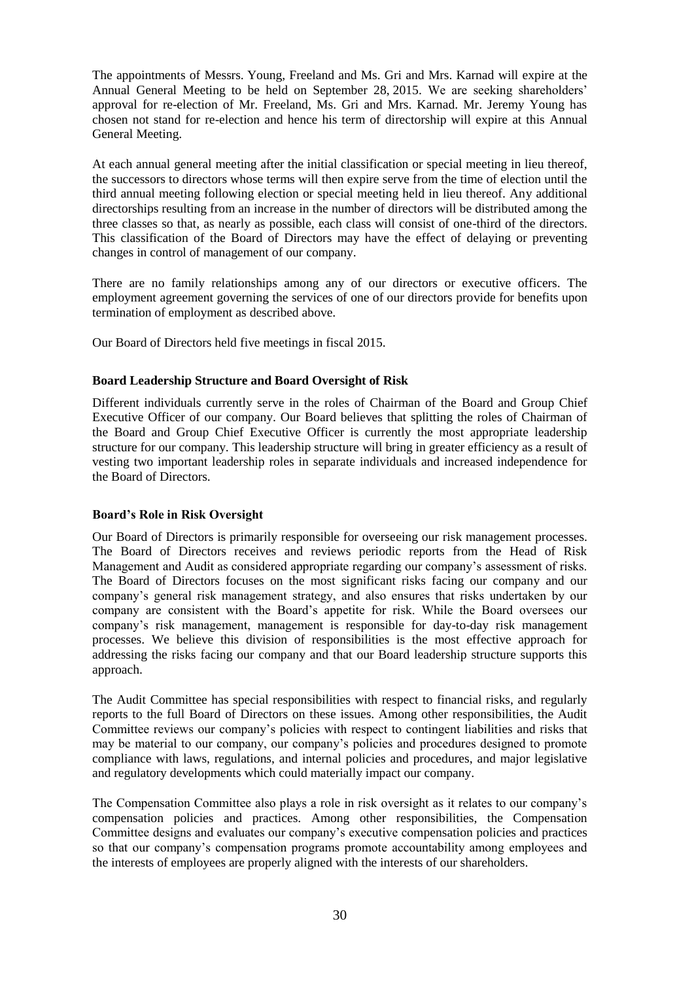The appointments of Messrs. Young, Freeland and Ms. Gri and Mrs. Karnad will expire at the Annual General Meeting to be held on September 28, 2015. We are seeking shareholders' approval for re-election of Mr. Freeland, Ms. Gri and Mrs. Karnad. Mr. Jeremy Young has chosen not stand for re-election and hence his term of directorship will expire at this Annual General Meeting.

At each annual general meeting after the initial classification or special meeting in lieu thereof, the successors to directors whose terms will then expire serve from the time of election until the third annual meeting following election or special meeting held in lieu thereof. Any additional directorships resulting from an increase in the number of directors will be distributed among the three classes so that, as nearly as possible, each class will consist of one-third of the directors. This classification of the Board of Directors may have the effect of delaying or preventing changes in control of management of our company.

There are no family relationships among any of our directors or executive officers. The employment agreement governing the services of one of our directors provide for benefits upon termination of employment as described above.

Our Board of Directors held five meetings in fiscal 2015.

## **Board Leadership Structure and Board Oversight of Risk**

Different individuals currently serve in the roles of Chairman of the Board and Group Chief Executive Officer of our company. Our Board believes that splitting the roles of Chairman of the Board and Group Chief Executive Officer is currently the most appropriate leadership structure for our company. This leadership structure will bring in greater efficiency as a result of vesting two important leadership roles in separate individuals and increased independence for the Board of Directors.

## **Board"s Role in Risk Oversight**

Our Board of Directors is primarily responsible for overseeing our risk management processes. The Board of Directors receives and reviews periodic reports from the Head of Risk Management and Audit as considered appropriate regarding our company's assessment of risks. The Board of Directors focuses on the most significant risks facing our company and our company's general risk management strategy, and also ensures that risks undertaken by our company are consistent with the Board's appetite for risk. While the Board oversees our company's risk management, management is responsible for day-to-day risk management processes. We believe this division of responsibilities is the most effective approach for addressing the risks facing our company and that our Board leadership structure supports this approach.

The Audit Committee has special responsibilities with respect to financial risks, and regularly reports to the full Board of Directors on these issues. Among other responsibilities, the Audit Committee reviews our company's policies with respect to contingent liabilities and risks that may be material to our company, our company's policies and procedures designed to promote compliance with laws, regulations, and internal policies and procedures, and major legislative and regulatory developments which could materially impact our company.

The Compensation Committee also plays a role in risk oversight as it relates to our company's compensation policies and practices. Among other responsibilities, the Compensation Committee designs and evaluates our company's executive compensation policies and practices so that our company's compensation programs promote accountability among employees and the interests of employees are properly aligned with the interests of our shareholders.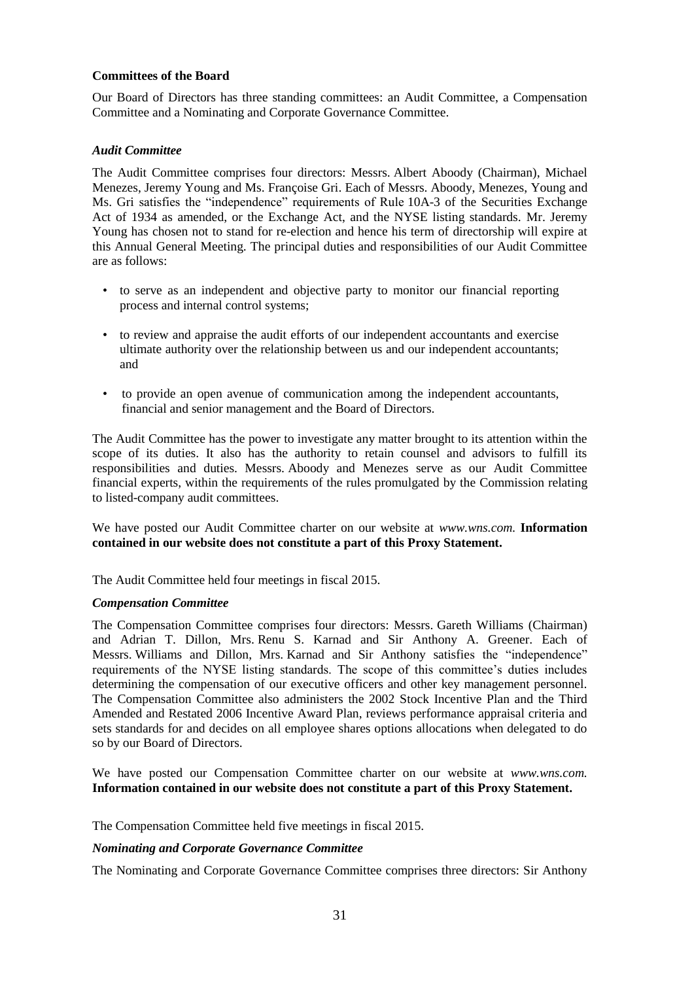#### **Committees of the Board**

Our Board of Directors has three standing committees: an Audit Committee, a Compensation Committee and a Nominating and Corporate Governance Committee.

#### *Audit Committee*

The Audit Committee comprises four directors: Messrs. Albert Aboody (Chairman), Michael Menezes, Jeremy Young and Ms. Françoise Gri. Each of Messrs. Aboody, Menezes, Young and Ms. Gri satisfies the "independence" requirements of Rule 10A-3 of the Securities Exchange Act of 1934 as amended, or the Exchange Act, and the NYSE listing standards. Mr. Jeremy Young has chosen not to stand for re-election and hence his term of directorship will expire at this Annual General Meeting. The principal duties and responsibilities of our Audit Committee are as follows:

- to serve as an independent and objective party to monitor our financial reporting process and internal control systems;
- to review and appraise the audit efforts of our independent accountants and exercise ultimate authority over the relationship between us and our independent accountants; and
- to provide an open avenue of communication among the independent accountants, financial and senior management and the Board of Directors.

The Audit Committee has the power to investigate any matter brought to its attention within the scope of its duties. It also has the authority to retain counsel and advisors to fulfill its responsibilities and duties. Messrs. Aboody and Menezes serve as our Audit Committee financial experts, within the requirements of the rules promulgated by the Commission relating to listed-company audit committees.

We have posted our Audit Committee charter on our website at *www.wns.com.* **Information contained in our website does not constitute a part of this Proxy Statement.**

The Audit Committee held four meetings in fiscal 2015.

#### *Compensation Committee*

The Compensation Committee comprises four directors: Messrs. Gareth Williams (Chairman) and Adrian T. Dillon, Mrs. Renu S. Karnad and Sir Anthony A. Greener. Each of Messrs. Williams and Dillon, Mrs. Karnad and Sir Anthony satisfies the "independence" requirements of the NYSE listing standards. The scope of this committee's duties includes determining the compensation of our executive officers and other key management personnel. The Compensation Committee also administers the 2002 Stock Incentive Plan and the Third Amended and Restated 2006 Incentive Award Plan, reviews performance appraisal criteria and sets standards for and decides on all employee shares options allocations when delegated to do so by our Board of Directors.

We have posted our Compensation Committee charter on our website at *www.wns.com.* **Information contained in our website does not constitute a part of this Proxy Statement.**

The Compensation Committee held five meetings in fiscal 2015.

#### *Nominating and Corporate Governance Committee*

The Nominating and Corporate Governance Committee comprises three directors: Sir Anthony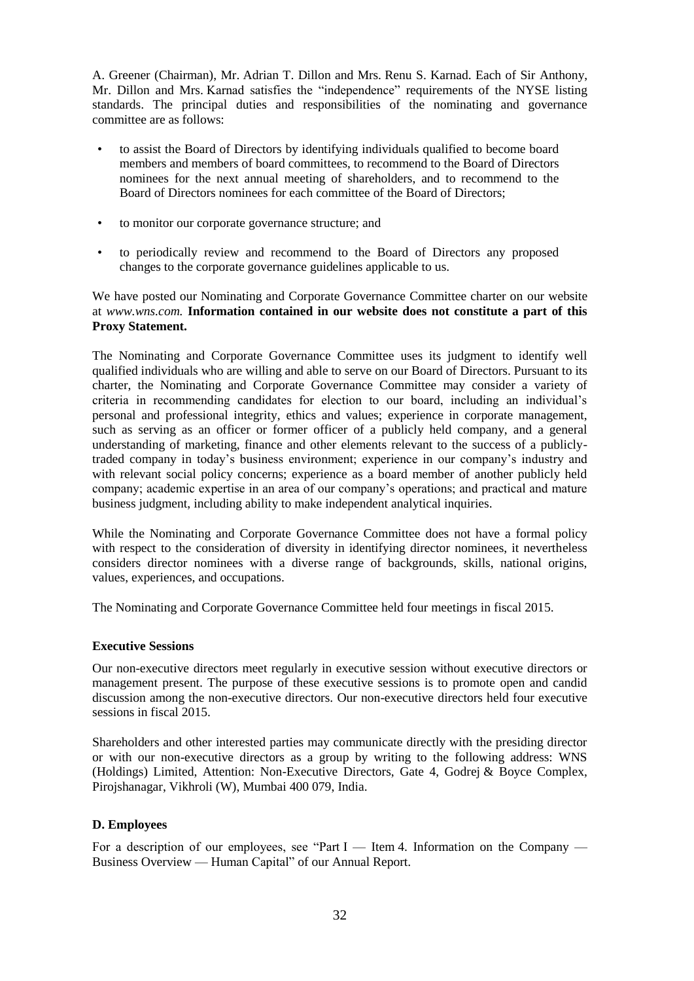A. Greener (Chairman), Mr. Adrian T. Dillon and Mrs. Renu S. Karnad. Each of Sir Anthony, Mr. Dillon and Mrs. Karnad satisfies the "independence" requirements of the NYSE listing standards. The principal duties and responsibilities of the nominating and governance committee are as follows:

- to assist the Board of Directors by identifying individuals qualified to become board members and members of board committees, to recommend to the Board of Directors nominees for the next annual meeting of shareholders, and to recommend to the Board of Directors nominees for each committee of the Board of Directors;
- to monitor our corporate governance structure; and
- to periodically review and recommend to the Board of Directors any proposed changes to the corporate governance guidelines applicable to us.

We have posted our Nominating and Corporate Governance Committee charter on our website at *www.wns.com.* **Information contained in our website does not constitute a part of this Proxy Statement.**

The Nominating and Corporate Governance Committee uses its judgment to identify well qualified individuals who are willing and able to serve on our Board of Directors. Pursuant to its charter, the Nominating and Corporate Governance Committee may consider a variety of criteria in recommending candidates for election to our board, including an individual's personal and professional integrity, ethics and values; experience in corporate management, such as serving as an officer or former officer of a publicly held company, and a general understanding of marketing, finance and other elements relevant to the success of a publiclytraded company in today's business environment; experience in our company's industry and with relevant social policy concerns; experience as a board member of another publicly held company; academic expertise in an area of our company's operations; and practical and mature business judgment, including ability to make independent analytical inquiries.

While the Nominating and Corporate Governance Committee does not have a formal policy with respect to the consideration of diversity in identifying director nominees, it nevertheless considers director nominees with a diverse range of backgrounds, skills, national origins, values, experiences, and occupations.

The Nominating and Corporate Governance Committee held four meetings in fiscal 2015.

#### **Executive Sessions**

Our non-executive directors meet regularly in executive session without executive directors or management present. The purpose of these executive sessions is to promote open and candid discussion among the non-executive directors. Our non-executive directors held four executive sessions in fiscal 2015.

Shareholders and other interested parties may communicate directly with the presiding director or with our non-executive directors as a group by writing to the following address: WNS (Holdings) Limited, Attention: Non-Executive Directors, Gate 4, Godrej & Boyce Complex, Pirojshanagar, Vikhroli (W), Mumbai 400 079, India.

#### **D. Employees**

For a description of our employees, see "Part I — Item 4. Information on the Company — Business Overview — Human Capital" of our Annual Report.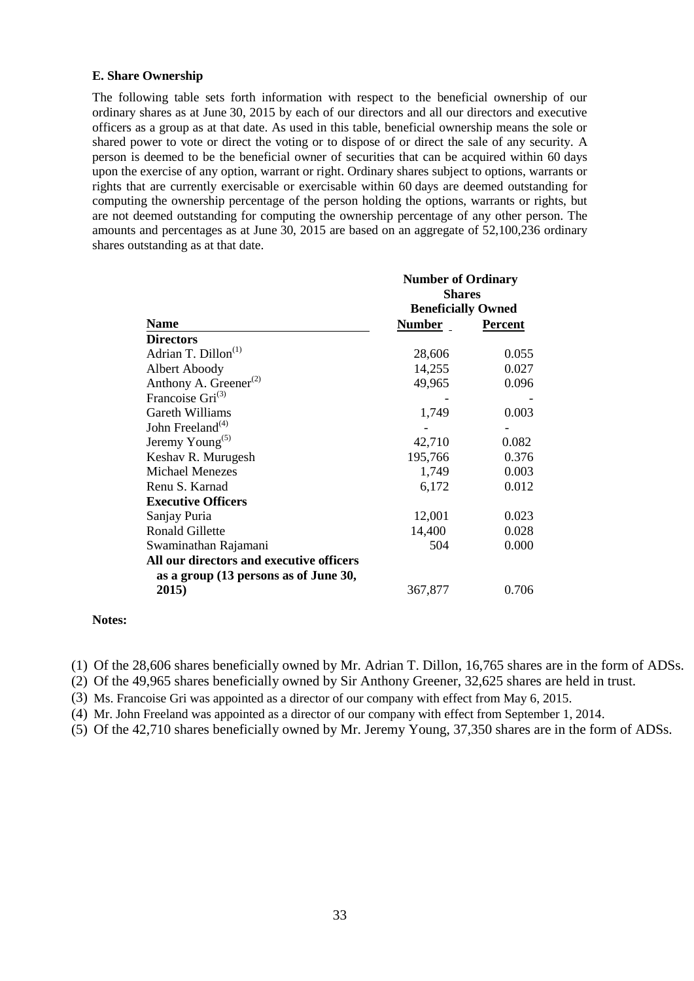#### **E. Share Ownership**

The following table sets forth information with respect to the beneficial ownership of our ordinary shares as at June 30, 2015 by each of our directors and all our directors and executive officers as a group as at that date. As used in this table, beneficial ownership means the sole or shared power to vote or direct the voting or to dispose of or direct the sale of any security. A person is deemed to be the beneficial owner of securities that can be acquired within 60 days upon the exercise of any option, warrant or right. Ordinary shares subject to options, warrants or rights that are currently exercisable or exercisable within 60 days are deemed outstanding for computing the ownership percentage of the person holding the options, warrants or rights, but are not deemed outstanding for computing the ownership percentage of any other person. The amounts and percentages as at June 30, 2015 are based on an aggregate of 52,100,236 ordinary shares outstanding as at that date.

|                                                | <b>Number of Ordinary</b><br><b>Shares</b> |                |  |  |  |  |
|------------------------------------------------|--------------------------------------------|----------------|--|--|--|--|
|                                                | <b>Beneficially Owned</b>                  |                |  |  |  |  |
| <b>Name</b>                                    | Number _                                   | <b>Percent</b> |  |  |  |  |
| <b>Directors</b>                               |                                            |                |  |  |  |  |
| Adrian T. Dillon <sup>(1)</sup>                | 28,606                                     | 0.055          |  |  |  |  |
| Albert Aboody                                  | 14,255                                     | 0.027          |  |  |  |  |
| Anthony A. Greener <sup><math>(2)</math></sup> | 49,965                                     | 0.096          |  |  |  |  |
| Francoise $Gri^{(3)}$                          |                                            |                |  |  |  |  |
| Gareth Williams                                | 1,749                                      | 0.003          |  |  |  |  |
| John Freeland <sup><math>(4)</math></sup>      |                                            |                |  |  |  |  |
| Jeremy Young <sup>(5)</sup>                    | 42,710                                     | 0.082          |  |  |  |  |
| Keshav R. Murugesh                             | 195,766                                    | 0.376          |  |  |  |  |
| <b>Michael Menezes</b>                         | 1,749                                      | 0.003          |  |  |  |  |
| Renu S. Karnad                                 | 6,172                                      | 0.012          |  |  |  |  |
| <b>Executive Officers</b>                      |                                            |                |  |  |  |  |
| Sanjay Puria                                   | 12,001                                     | 0.023          |  |  |  |  |
| <b>Ronald Gillette</b>                         | 14,400                                     | 0.028          |  |  |  |  |
| Swaminathan Rajamani                           | 504                                        | 0.000          |  |  |  |  |
| All our directors and executive officers       |                                            |                |  |  |  |  |
| as a group (13 persons as of June 30,          |                                            |                |  |  |  |  |
| 2015)                                          | 367,877                                    | 0.706          |  |  |  |  |

#### **Notes:**

(1) Of the 28,606 shares beneficially owned by Mr. Adrian T. Dillon, 16,765 shares are in the form of ADSs.

(2) Of the 49,965 shares beneficially owned by Sir Anthony Greener, 32,625 shares are held in trust.

(3) Ms. Francoise Gri was appointed as a director of our company with effect from May 6, 2015.

(4) Mr. John Freeland was appointed as a director of our company with effect from September 1, 2014.

(5) Of the 42,710 shares beneficially owned by Mr. Jeremy Young, 37,350 shares are in the form of ADSs.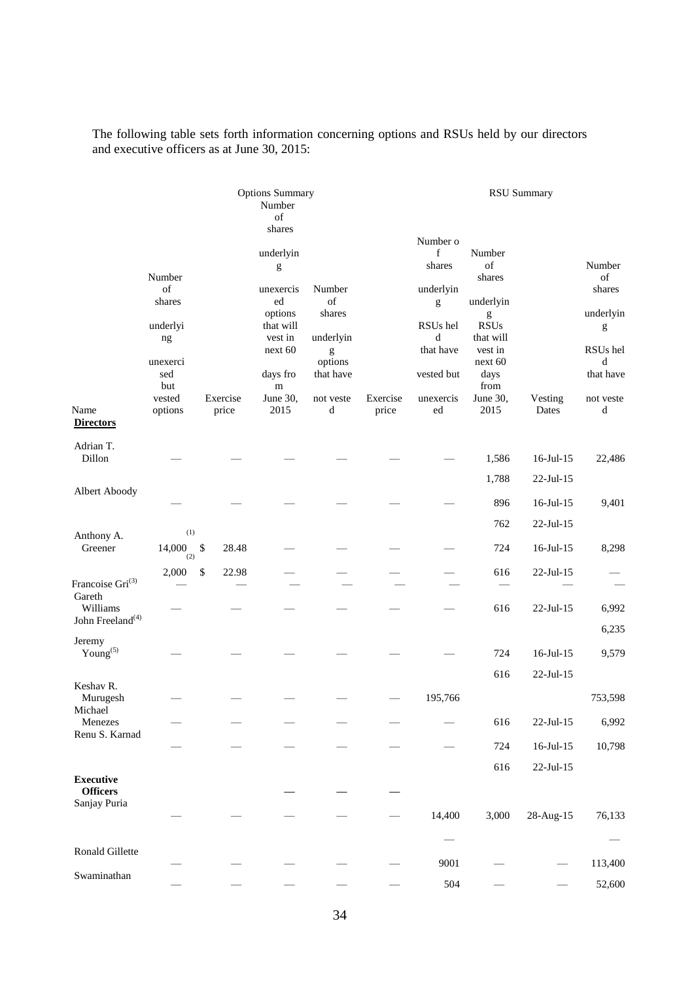The following table sets forth information concerning options and RSUs held by our directors and executive officers as at June 30, 2015:

|                                          |                                                                                         | <b>Options Summary</b><br>Number<br>of |                                                                                                                                                                                                                                                                                                                                                                                                                                                                                                                                                             |                                                                                    |                   |                                                                                                          | <b>RSU Summary</b>                                                                                                             |                              |                                                                                          |  |  |
|------------------------------------------|-----------------------------------------------------------------------------------------|----------------------------------------|-------------------------------------------------------------------------------------------------------------------------------------------------------------------------------------------------------------------------------------------------------------------------------------------------------------------------------------------------------------------------------------------------------------------------------------------------------------------------------------------------------------------------------------------------------------|------------------------------------------------------------------------------------|-------------------|----------------------------------------------------------------------------------------------------------|--------------------------------------------------------------------------------------------------------------------------------|------------------------------|------------------------------------------------------------------------------------------|--|--|
| Name<br><b>Directors</b>                 | Number<br>of<br>shares<br>underlyi<br>ng<br>unexerci<br>sed<br>but<br>vested<br>options | Exercise<br>price                      | shares<br>underlyin<br>$\mathbf{g}% _{T}=\mathbf{g}_{T}=\mathbf{g}_{T}=\mathbf{g}_{T}=\mathbf{g}_{T}=\mathbf{g}_{T}=\mathbf{g}_{T}=\mathbf{g}_{T}=\mathbf{g}_{T}=\mathbf{g}_{T}=\mathbf{g}_{T}=\mathbf{g}_{T}=\mathbf{g}_{T}=\mathbf{g}_{T}=\mathbf{g}_{T}=\mathbf{g}_{T}=\mathbf{g}_{T}=\mathbf{g}_{T}=\mathbf{g}_{T}=\mathbf{g}_{T}=\mathbf{g}_{T}=\mathbf{g}_{T}=\mathbf{g}_{T}=\mathbf{g}_{T}=\mathbf{g}_{T}=\mathbf{g}_{T}=\mathbf{g}_{T}=\math$<br>unexercis<br>ed<br>options<br>that will<br>vest in<br>next 60<br>days fro<br>m<br>June 30,<br>2015 | Number<br>of<br>shares<br>underlyin<br>g<br>options<br>that have<br>not veste<br>d | Exercise<br>price | Number o<br>f<br>shares<br>underlyin<br>g<br>RSUs hel<br>d<br>that have<br>vested but<br>unexercis<br>ed | Number<br>of<br>shares<br>underlyin<br>g<br><b>RSUs</b><br>that will<br>vest in<br>next 60<br>days<br>from<br>June 30,<br>2015 | Vesting<br>Dates             | Number<br>of<br>shares<br>underlyin<br>g<br>RSUs hel<br>d<br>that have<br>not veste<br>d |  |  |
| Adrian T.                                |                                                                                         |                                        |                                                                                                                                                                                                                                                                                                                                                                                                                                                                                                                                                             |                                                                                    |                   |                                                                                                          |                                                                                                                                |                              |                                                                                          |  |  |
| Dillon                                   |                                                                                         |                                        |                                                                                                                                                                                                                                                                                                                                                                                                                                                                                                                                                             |                                                                                    |                   |                                                                                                          | 1,586                                                                                                                          | $16$ -Jul- $15$              | 22,486                                                                                   |  |  |
| Albert Aboody                            |                                                                                         |                                        |                                                                                                                                                                                                                                                                                                                                                                                                                                                                                                                                                             |                                                                                    |                   |                                                                                                          | 1,788                                                                                                                          | 22-Jul-15                    |                                                                                          |  |  |
|                                          |                                                                                         |                                        |                                                                                                                                                                                                                                                                                                                                                                                                                                                                                                                                                             |                                                                                    |                   |                                                                                                          | 896<br>762                                                                                                                     | $16$ -Jul- $15$<br>22-Jul-15 | 9,401                                                                                    |  |  |
| Anthony A.<br>Greener                    | (1)<br>14,000<br>(2)                                                                    | \$<br>28.48                            |                                                                                                                                                                                                                                                                                                                                                                                                                                                                                                                                                             |                                                                                    |                   |                                                                                                          | 724                                                                                                                            | $16$ -Jul- $15$              | 8,298                                                                                    |  |  |
| Francoise Gri <sup>(3)</sup><br>Gareth   | 2,000                                                                                   | $\$$<br>22.98                          |                                                                                                                                                                                                                                                                                                                                                                                                                                                                                                                                                             |                                                                                    |                   |                                                                                                          | 616                                                                                                                            | 22-Jul-15                    |                                                                                          |  |  |
| Williams<br>John Freeland <sup>(4)</sup> |                                                                                         |                                        |                                                                                                                                                                                                                                                                                                                                                                                                                                                                                                                                                             |                                                                                    |                   |                                                                                                          | 616                                                                                                                            | 22-Jul-15                    | 6,992<br>6,235                                                                           |  |  |
| Jeremy<br>Young $(5)$                    |                                                                                         |                                        |                                                                                                                                                                                                                                                                                                                                                                                                                                                                                                                                                             |                                                                                    |                   |                                                                                                          | 724                                                                                                                            | 16-Jul-15                    | 9,579                                                                                    |  |  |
|                                          |                                                                                         |                                        |                                                                                                                                                                                                                                                                                                                                                                                                                                                                                                                                                             |                                                                                    |                   |                                                                                                          | 616                                                                                                                            | 22-Jul-15                    |                                                                                          |  |  |
| Keshav R.<br>Murugesh                    |                                                                                         |                                        |                                                                                                                                                                                                                                                                                                                                                                                                                                                                                                                                                             |                                                                                    |                   | 195,766                                                                                                  |                                                                                                                                |                              | 753,598                                                                                  |  |  |
| Michael<br>Menezes                       |                                                                                         |                                        |                                                                                                                                                                                                                                                                                                                                                                                                                                                                                                                                                             |                                                                                    |                   |                                                                                                          | 616                                                                                                                            | $22$ -Jul-15                 | 6,992                                                                                    |  |  |
| Renu S. Karnad                           |                                                                                         |                                        |                                                                                                                                                                                                                                                                                                                                                                                                                                                                                                                                                             |                                                                                    |                   |                                                                                                          | 724                                                                                                                            | $16$ -Jul- $15$              | 10,798                                                                                   |  |  |
| <b>Executive</b>                         |                                                                                         |                                        |                                                                                                                                                                                                                                                                                                                                                                                                                                                                                                                                                             |                                                                                    |                   |                                                                                                          | 616                                                                                                                            | $22$ -Jul-15                 |                                                                                          |  |  |
| <b>Officers</b><br>Sanjay Puria          |                                                                                         |                                        |                                                                                                                                                                                                                                                                                                                                                                                                                                                                                                                                                             |                                                                                    |                   |                                                                                                          |                                                                                                                                |                              |                                                                                          |  |  |
|                                          |                                                                                         |                                        |                                                                                                                                                                                                                                                                                                                                                                                                                                                                                                                                                             |                                                                                    |                   | 14,400                                                                                                   | 3,000                                                                                                                          | 28-Aug-15                    | 76,133                                                                                   |  |  |
| Ronald Gillette                          |                                                                                         |                                        |                                                                                                                                                                                                                                                                                                                                                                                                                                                                                                                                                             |                                                                                    |                   |                                                                                                          |                                                                                                                                |                              |                                                                                          |  |  |
| Swaminathan                              |                                                                                         |                                        |                                                                                                                                                                                                                                                                                                                                                                                                                                                                                                                                                             |                                                                                    |                   | 9001                                                                                                     |                                                                                                                                |                              | 113,400                                                                                  |  |  |
|                                          |                                                                                         |                                        |                                                                                                                                                                                                                                                                                                                                                                                                                                                                                                                                                             |                                                                                    |                   | 504                                                                                                      |                                                                                                                                |                              | 52,600                                                                                   |  |  |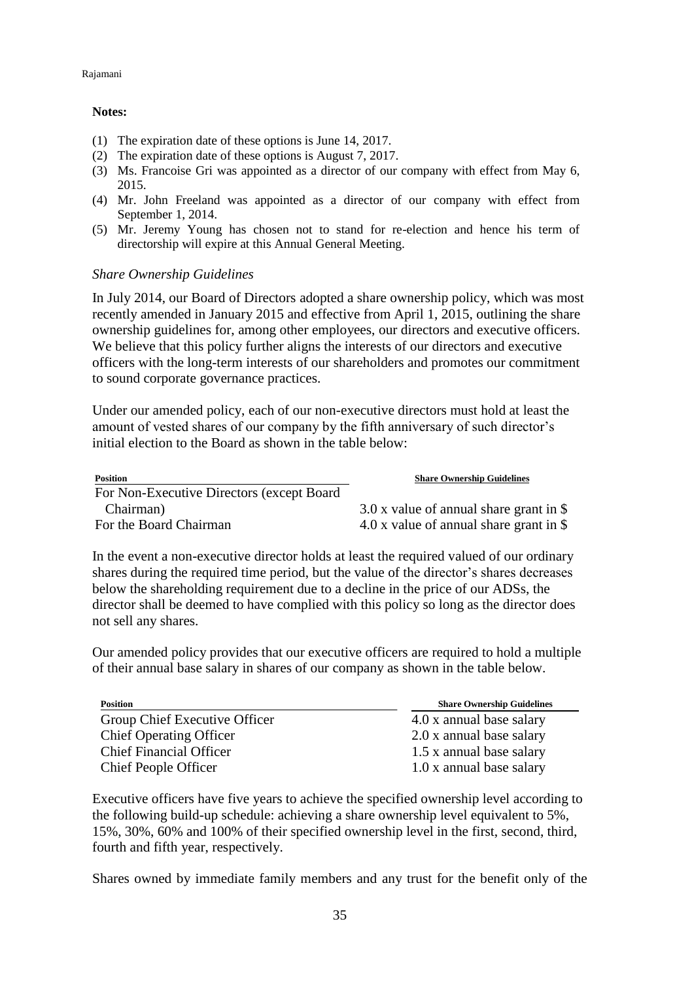#### Rajamani

## **Notes:**

- (1) The expiration date of these options is June 14, 2017.
- (2) The expiration date of these options is August 7, 2017.
- (3) Ms. Francoise Gri was appointed as a director of our company with effect from May 6, 2015.
- (4) Mr. John Freeland was appointed as a director of our company with effect from September 1, 2014.
- (5) Mr. Jeremy Young has chosen not to stand for re-election and hence his term of directorship will expire at this Annual General Meeting.

## *Share Ownership Guidelines*

In July 2014, our Board of Directors adopted a share ownership policy, which was most recently amended in January 2015 and effective from April 1, 2015, outlining the share ownership guidelines for, among other employees, our directors and executive officers. We believe that this policy further aligns the interests of our directors and executive officers with the long-term interests of our shareholders and promotes our commitment to sound corporate governance practices.

Under our amended policy, each of our non-executive directors must hold at least the amount of vested shares of our company by the fifth anniversary of such director's initial election to the Board as shown in the table below:

| <b>Position</b>                            | <b>Share Ownership Guidelines</b>         |
|--------------------------------------------|-------------------------------------------|
| For Non-Executive Directors (except Board) |                                           |
| Chairman)                                  | $3.0 x$ value of annual share grant in \$ |
| For the Board Chairman                     | 4.0 x value of annual share grant in \$   |

In the event a non-executive director holds at least the required valued of our ordinary shares during the required time period, but the value of the director's shares decreases below the shareholding requirement due to a decline in the price of our ADSs, the director shall be deemed to have complied with this policy so long as the director does not sell any shares.

Our amended policy provides that our executive officers are required to hold a multiple of their annual base salary in shares of our company as shown in the table below.

| <b>Position</b>                | <b>Share Ownership Guidelines</b> |
|--------------------------------|-----------------------------------|
| Group Chief Executive Officer  | 4.0 x annual base salary          |
| <b>Chief Operating Officer</b> | 2.0 x annual base salary          |
| <b>Chief Financial Officer</b> | 1.5 x annual base salary          |
| <b>Chief People Officer</b>    | 1.0 x annual base salary          |

Executive officers have five years to achieve the specified ownership level according to the following build-up schedule: achieving a share ownership level equivalent to 5%, 15%, 30%, 60% and 100% of their specified ownership level in the first, second, third, fourth and fifth year, respectively.

Shares owned by immediate family members and any trust for the benefit only of the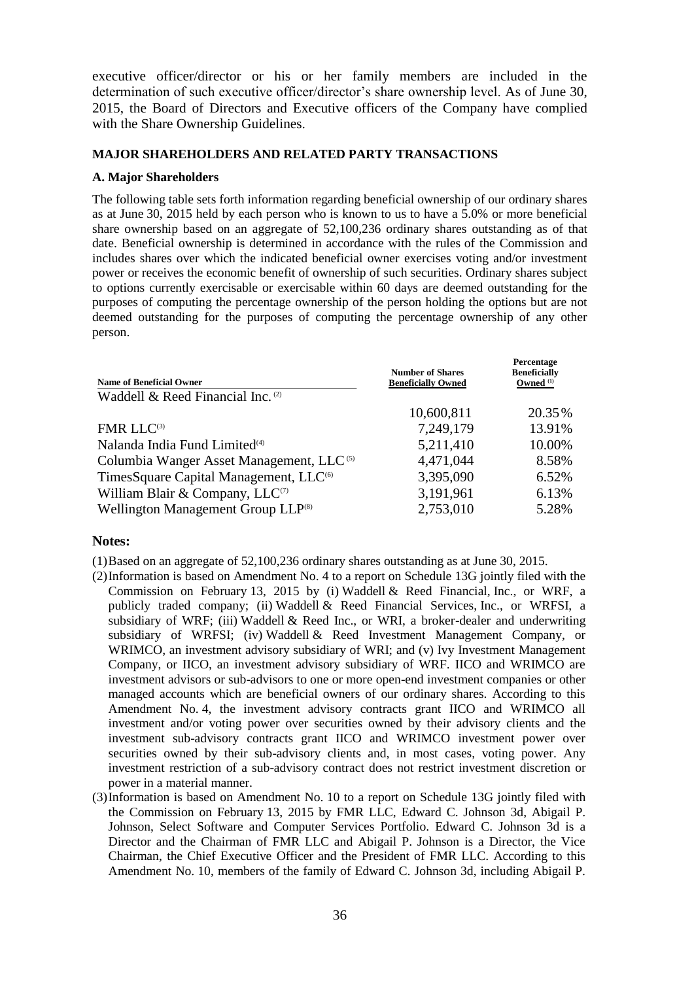executive officer/director or his or her family members are included in the determination of such executive officer/director's share ownership level. As of June 30, 2015, the Board of Directors and Executive officers of the Company have complied with the Share Ownership Guidelines.

## **MAJOR SHAREHOLDERS AND RELATED PARTY TRANSACTIONS**

## **A. Major Shareholders**

The following table sets forth information regarding beneficial ownership of our ordinary shares as at June 30, 2015 held by each person who is known to us to have a 5.0% or more beneficial share ownership based on an aggregate of 52,100,236 ordinary shares outstanding as of that date. Beneficial ownership is determined in accordance with the rules of the Commission and includes shares over which the indicated beneficial owner exercises voting and/or investment power or receives the economic benefit of ownership of such securities. Ordinary shares subject to options currently exercisable or exercisable within 60 days are deemed outstanding for the purposes of computing the percentage ownership of the person holding the options but are not deemed outstanding for the purposes of computing the percentage ownership of any other person.

| <b>Name of Beneficial Owner</b>                      | <b>Number of Shares</b><br><b>Beneficially Owned</b> | Percentage<br><b>Beneficially</b><br>Owned <sup>(1)</sup> |
|------------------------------------------------------|------------------------------------------------------|-----------------------------------------------------------|
| Waddell & Reed Financial Inc. (2)                    |                                                      |                                                           |
|                                                      | 10,600,811                                           | 20.35%                                                    |
| FMR LLC(3)                                           | 7,249,179                                            | 13.91%                                                    |
| Nalanda India Fund Limited <sup>(4)</sup>            | 5,211,410                                            | 10.00%                                                    |
| Columbia Wanger Asset Management, LLC <sup>(5)</sup> | 4,471,044                                            | 8.58%                                                     |
| TimesSquare Capital Management, LLC <sup>(6)</sup>   | 3,395,090                                            | 6.52%                                                     |
| William Blair & Company, LLC <sup>(7)</sup>          | 3,191,961                                            | 6.13%                                                     |
| Wellington Management Group LLP <sup>(8)</sup>       | 2,753,010                                            | 5.28%                                                     |

## **Notes:**

(1)Based on an aggregate of 52,100,236 ordinary shares outstanding as at June 30, 2015.

- (2)Information is based on Amendment No. 4 to a report on Schedule 13G jointly filed with the Commission on February 13, 2015 by (i) Waddell & Reed Financial, Inc., or WRF, a publicly traded company; (ii) Waddell & Reed Financial Services, Inc., or WRFSI, a subsidiary of WRF; (iii) Waddell & Reed Inc., or WRI, a broker-dealer and underwriting subsidiary of WRFSI; (iv) Waddell & Reed Investment Management Company, or WRIMCO, an investment advisory subsidiary of WRI; and (v) Ivy Investment Management Company, or IICO, an investment advisory subsidiary of WRF. IICO and WRIMCO are investment advisors or sub-advisors to one or more open-end investment companies or other managed accounts which are beneficial owners of our ordinary shares. According to this Amendment No. 4, the investment advisory contracts grant IICO and WRIMCO all investment and/or voting power over securities owned by their advisory clients and the investment sub-advisory contracts grant IICO and WRIMCO investment power over securities owned by their sub-advisory clients and, in most cases, voting power. Any investment restriction of a sub-advisory contract does not restrict investment discretion or power in a material manner.
- (3)Information is based on Amendment No. 10 to a report on Schedule 13G jointly filed with the Commission on February 13, 2015 by FMR LLC, Edward C. Johnson 3d, Abigail P. Johnson, Select Software and Computer Services Portfolio. Edward C. Johnson 3d is a Director and the Chairman of FMR LLC and Abigail P. Johnson is a Director, the Vice Chairman, the Chief Executive Officer and the President of FMR LLC. According to this Amendment No. 10, members of the family of Edward C. Johnson 3d, including Abigail P.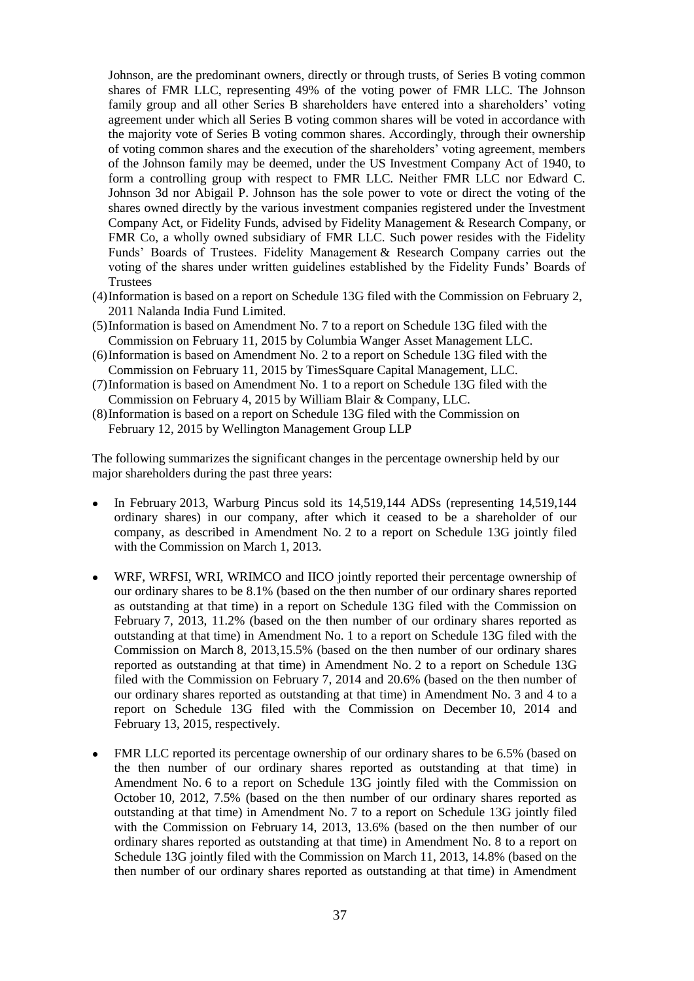Johnson, are the predominant owners, directly or through trusts, of Series B voting common shares of FMR LLC, representing 49% of the voting power of FMR LLC. The Johnson family group and all other Series B shareholders have entered into a shareholders' voting agreement under which all Series B voting common shares will be voted in accordance with the majority vote of Series B voting common shares. Accordingly, through their ownership of voting common shares and the execution of the shareholders' voting agreement, members of the Johnson family may be deemed, under the US Investment Company Act of 1940, to form a controlling group with respect to FMR LLC. Neither FMR LLC nor Edward C. Johnson 3d nor Abigail P. Johnson has the sole power to vote or direct the voting of the shares owned directly by the various investment companies registered under the Investment Company Act, or Fidelity Funds, advised by Fidelity Management & Research Company, or FMR Co, a wholly owned subsidiary of FMR LLC. Such power resides with the Fidelity Funds' Boards of Trustees. Fidelity Management & Research Company carries out the voting of the shares under written guidelines established by the Fidelity Funds' Boards of **Trustees** 

- (4)Information is based on a report on Schedule 13G filed with the Commission on February 2, 2011 Nalanda India Fund Limited.
- (5)Information is based on Amendment No. 7 to a report on Schedule 13G filed with the Commission on February 11, 2015 by Columbia Wanger Asset Management LLC.
- (6)Information is based on Amendment No. 2 to a report on Schedule 13G filed with the Commission on February 11, 2015 by TimesSquare Capital Management, LLC.
- (7)Information is based on Amendment No. 1 to a report on Schedule 13G filed with the Commission on February 4, 2015 by William Blair & Company, LLC.
- (8)Information is based on a report on Schedule 13G filed with the Commission on February 12, 2015 by Wellington Management Group LLP

The following summarizes the significant changes in the percentage ownership held by our major shareholders during the past three years:

- In February 2013, Warburg Pincus sold its 14,519,144 ADSs (representing 14,519,144 ordinary shares) in our company, after which it ceased to be a shareholder of our company, as described in Amendment No. 2 to a report on Schedule 13G jointly filed with the Commission on March 1, 2013.
- WRF, WRFSI, WRI, WRIMCO and IICO jointly reported their percentage ownership of our ordinary shares to be 8.1% (based on the then number of our ordinary shares reported as outstanding at that time) in a report on Schedule 13G filed with the Commission on February 7, 2013, 11.2% (based on the then number of our ordinary shares reported as outstanding at that time) in Amendment No. 1 to a report on Schedule 13G filed with the Commission on March 8, 2013,15.5% (based on the then number of our ordinary shares reported as outstanding at that time) in Amendment No. 2 to a report on Schedule 13G filed with the Commission on February 7, 2014 and 20.6% (based on the then number of our ordinary shares reported as outstanding at that time) in Amendment No. 3 and 4 to a report on Schedule 13G filed with the Commission on December 10, 2014 and February 13, 2015, respectively.
- FMR LLC reported its percentage ownership of our ordinary shares to be 6.5% (based on the then number of our ordinary shares reported as outstanding at that time) in Amendment No. 6 to a report on Schedule 13G jointly filed with the Commission on October 10, 2012, 7.5% (based on the then number of our ordinary shares reported as outstanding at that time) in Amendment No. 7 to a report on Schedule 13G jointly filed with the Commission on February 14, 2013, 13.6% (based on the then number of our ordinary shares reported as outstanding at that time) in Amendment No. 8 to a report on Schedule 13G jointly filed with the Commission on March 11, 2013, 14.8% (based on the then number of our ordinary shares reported as outstanding at that time) in Amendment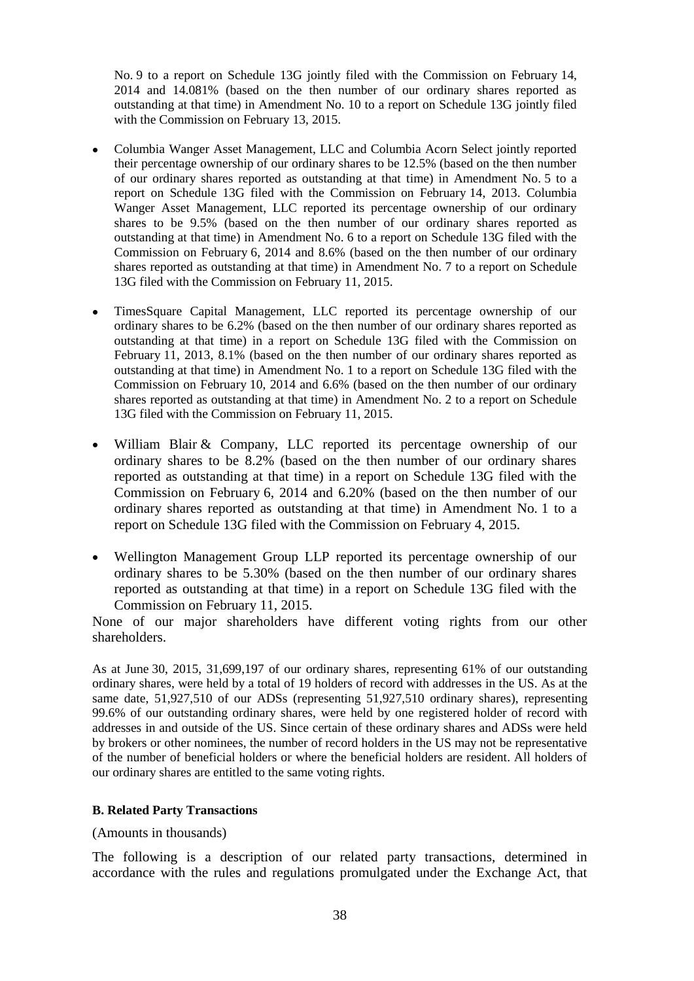No. 9 to a report on Schedule 13G jointly filed with the Commission on February 14, 2014 and 14.081% (based on the then number of our ordinary shares reported as outstanding at that time) in Amendment No. 10 to a report on Schedule 13G jointly filed with the Commission on February 13, 2015.

- Columbia Wanger Asset Management, LLC and Columbia Acorn Select jointly reported their percentage ownership of our ordinary shares to be 12.5% (based on the then number of our ordinary shares reported as outstanding at that time) in Amendment No. 5 to a report on Schedule 13G filed with the Commission on February 14, 2013. Columbia Wanger Asset Management, LLC reported its percentage ownership of our ordinary shares to be 9.5% (based on the then number of our ordinary shares reported as outstanding at that time) in Amendment No. 6 to a report on Schedule 13G filed with the Commission on February 6, 2014 and 8.6% (based on the then number of our ordinary shares reported as outstanding at that time) in Amendment No. 7 to a report on Schedule 13G filed with the Commission on February 11, 2015.
- TimesSquare Capital Management, LLC reported its percentage ownership of our ordinary shares to be 6.2% (based on the then number of our ordinary shares reported as outstanding at that time) in a report on Schedule 13G filed with the Commission on February 11, 2013, 8.1% (based on the then number of our ordinary shares reported as outstanding at that time) in Amendment No. 1 to a report on Schedule 13G filed with the Commission on February 10, 2014 and 6.6% (based on the then number of our ordinary shares reported as outstanding at that time) in Amendment No. 2 to a report on Schedule 13G filed with the Commission on February 11, 2015.
- William Blair & Company, LLC reported its percentage ownership of our ordinary shares to be 8.2% (based on the then number of our ordinary shares reported as outstanding at that time) in a report on Schedule 13G filed with the Commission on February 6, 2014 and 6.20% (based on the then number of our ordinary shares reported as outstanding at that time) in Amendment No. 1 to a report on Schedule 13G filed with the Commission on February 4, 2015.
- Wellington Management Group LLP reported its percentage ownership of our ordinary shares to be 5.30% (based on the then number of our ordinary shares reported as outstanding at that time) in a report on Schedule 13G filed with the Commission on February 11, 2015.

None of our major shareholders have different voting rights from our other shareholders.

As at June 30, 2015, 31,699,197 of our ordinary shares, representing 61% of our outstanding ordinary shares, were held by a total of 19 holders of record with addresses in the US. As at the same date, 51,927,510 of our ADSs (representing 51,927,510 ordinary shares), representing 99.6% of our outstanding ordinary shares, were held by one registered holder of record with addresses in and outside of the US. Since certain of these ordinary shares and ADSs were held by brokers or other nominees, the number of record holders in the US may not be representative of the number of beneficial holders or where the beneficial holders are resident. All holders of our ordinary shares are entitled to the same voting rights.

#### **B. Related Party Transactions**

#### (Amounts in thousands)

The following is a description of our related party transactions, determined in accordance with the rules and regulations promulgated under the Exchange Act, that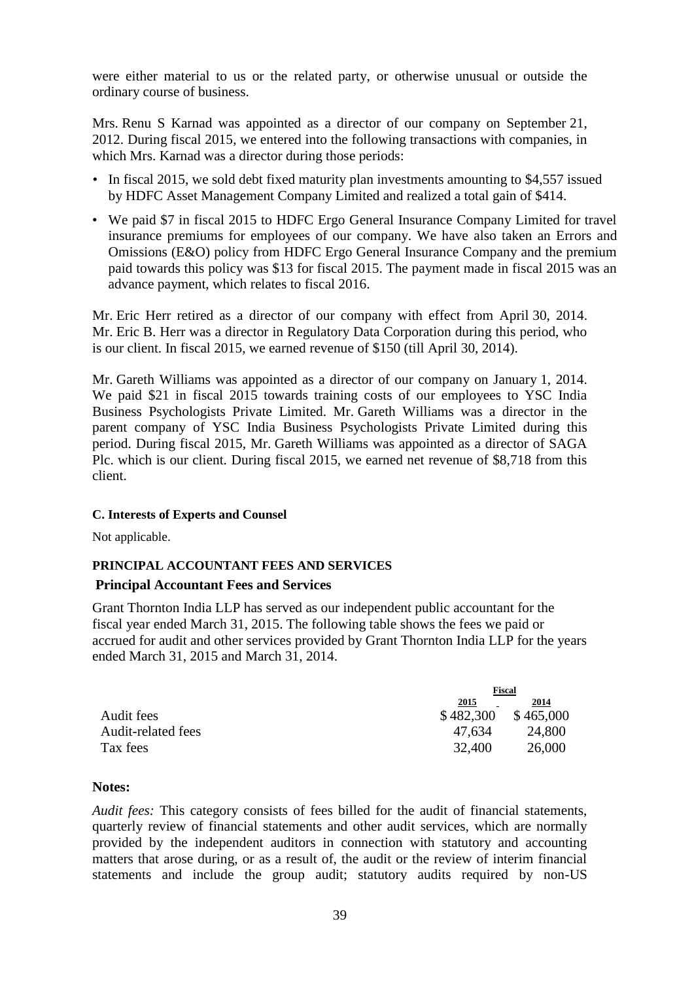were either material to us or the related party, or otherwise unusual or outside the ordinary course of business.

Mrs. Renu S Karnad was appointed as a director of our company on September 21, 2012. During fiscal 2015, we entered into the following transactions with companies, in which Mrs. Karnad was a director during those periods:

- In fiscal 2015, we sold debt fixed maturity plan investments amounting to \$4,557 issued by HDFC Asset Management Company Limited and realized a total gain of \$414.
- We paid \$7 in fiscal 2015 to HDFC Ergo General Insurance Company Limited for travel insurance premiums for employees of our company. We have also taken an Errors and Omissions (E&O) policy from HDFC Ergo General Insurance Company and the premium paid towards this policy was \$13 for fiscal 2015. The payment made in fiscal 2015 was an advance payment, which relates to fiscal 2016.

Mr. Eric Herr retired as a director of our company with effect from April 30, 2014. Mr. Eric B. Herr was a director in Regulatory Data Corporation during this period, who is our client. In fiscal 2015, we earned revenue of \$150 (till April 30, 2014).

Mr. Gareth Williams was appointed as a director of our company on January 1, 2014. We paid \$21 in fiscal 2015 towards training costs of our employees to YSC India Business Psychologists Private Limited. Mr. Gareth Williams was a director in the parent company of YSC India Business Psychologists Private Limited during this period. During fiscal 2015, Mr. Gareth Williams was appointed as a director of SAGA Plc. which is our client. During fiscal 2015, we earned net revenue of \$8,718 from this client.

## **C. Interests of Experts and Counsel**

Not applicable.

## **PRINCIPAL ACCOUNTANT FEES AND SERVICES Principal Accountant Fees and Services**

Grant Thornton India LLP has served as our independent public accountant for the fiscal year ended March 31, 2015. The following table shows the fees we paid or accrued for audit and other services provided by Grant Thornton India LLP for the years ended March 31, 2015 and March 31, 2014.

|                    |           | Fiscal    |  |
|--------------------|-----------|-----------|--|
|                    | 2015      | 2014      |  |
| Audit fees         | \$482,300 | \$465,000 |  |
| Audit-related fees | 47.634    | 24,800    |  |
| Tax fees           | 32,400    | 26,000    |  |

## **Notes:**

*Audit fees:* This category consists of fees billed for the audit of financial statements, quarterly review of financial statements and other audit services, which are normally provided by the independent auditors in connection with statutory and accounting matters that arose during, or as a result of, the audit or the review of interim financial statements and include the group audit; statutory audits required by non-US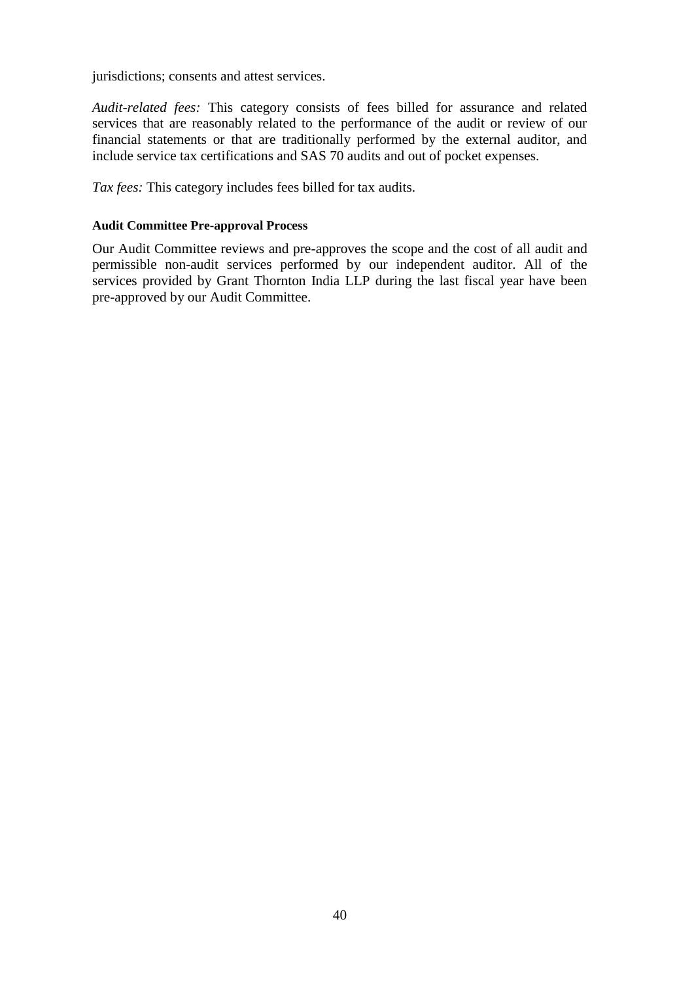jurisdictions; consents and attest services.

*Audit-related fees:* This category consists of fees billed for assurance and related services that are reasonably related to the performance of the audit or review of our financial statements or that are traditionally performed by the external auditor, and include service tax certifications and SAS 70 audits and out of pocket expenses.

*Tax fees:* This category includes fees billed for tax audits.

## **Audit Committee Pre-approval Process**

Our Audit Committee reviews and pre-approves the scope and the cost of all audit and permissible non-audit services performed by our independent auditor. All of the services provided by Grant Thornton India LLP during the last fiscal year have been pre-approved by our Audit Committee.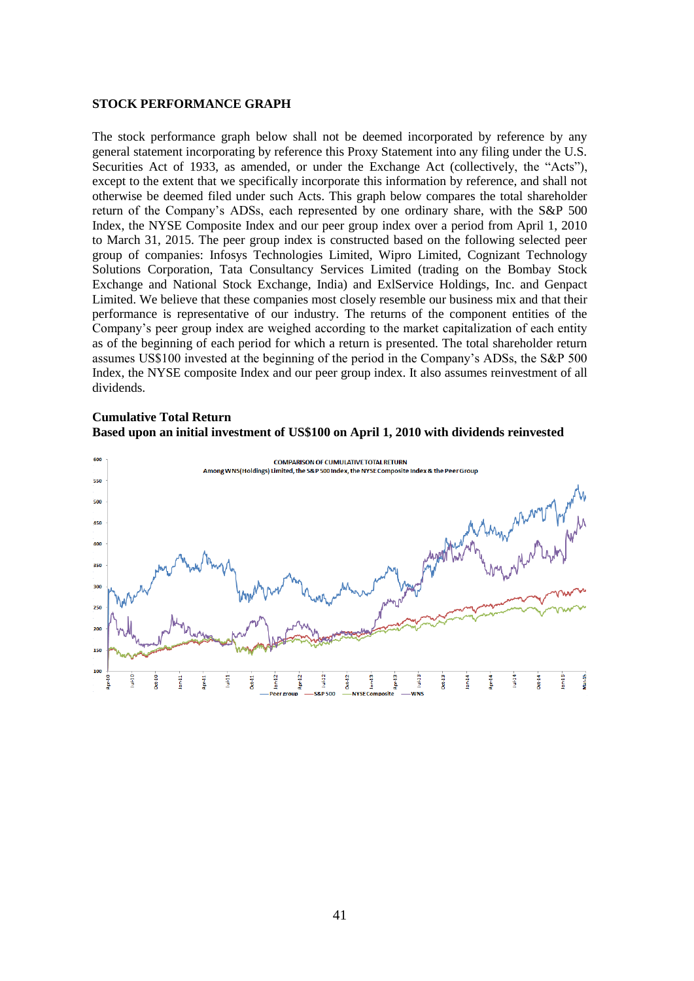#### **STOCK PERFORMANCE GRAPH**

The stock performance graph below shall not be deemed incorporated by reference by any general statement incorporating by reference this Proxy Statement into any filing under the U.S. Securities Act of 1933, as amended, or under the Exchange Act (collectively, the "Acts"), except to the extent that we specifically incorporate this information by reference, and shall not otherwise be deemed filed under such Acts. This graph below compares the total shareholder return of the Company's ADSs, each represented by one ordinary share, with the S&P 500 Index, the NYSE Composite Index and our peer group index over a period from April 1, 2010 to March 31, 2015. The peer group index is constructed based on the following selected peer group of companies: Infosys Technologies Limited, Wipro Limited, Cognizant Technology Solutions Corporation, Tata Consultancy Services Limited (trading on the Bombay Stock Exchange and National Stock Exchange, India) and ExlService Holdings, Inc. and Genpact Limited. We believe that these companies most closely resemble our business mix and that their performance is representative of our industry. The returns of the component entities of the Company's peer group index are weighed according to the market capitalization of each entity as of the beginning of each period for which a return is presented. The total shareholder return assumes US\$100 invested at the beginning of the period in the Company's ADSs, the S&P 500 Index, the NYSE composite Index and our peer group index. It also assumes reinvestment of all dividends.

## **Cumulative Total Return Based upon an initial investment of US\$100 on April 1, 2010 with dividends reinvested**

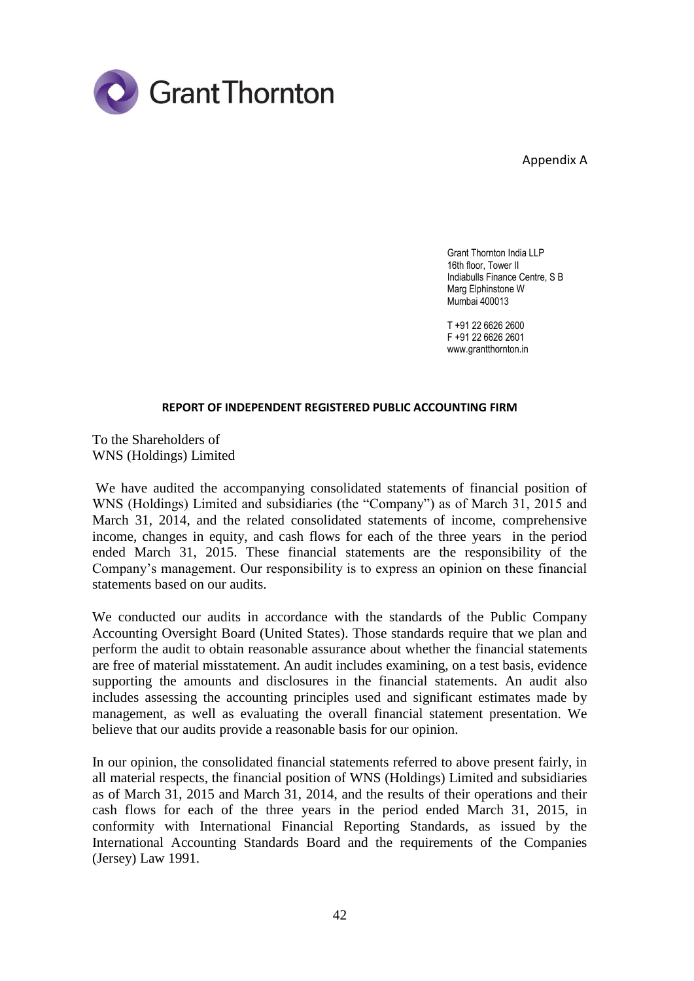

Appendix A

Grant Thornton India LLP 16th floor, Tower II Indiabulls Finance Centre, S B Marg Elphinstone W Mumbai 400013

T +91 22 6626 2600 F +91 22 6626 2601 www.grantthornton.in

#### **REPORT OF INDEPENDENT REGISTERED PUBLIC ACCOUNTING FIRM**

To the Shareholders of WNS (Holdings) Limited

We have audited the accompanying consolidated statements of financial position of WNS (Holdings) Limited and subsidiaries (the "Company") as of March 31, 2015 and March 31, 2014, and the related consolidated statements of income, comprehensive income, changes in equity, and cash flows for each of the three years in the period ended March 31, 2015. These financial statements are the responsibility of the Company's management. Our responsibility is to express an opinion on these financial statements based on our audits.

We conducted our audits in accordance with the standards of the Public Company Accounting Oversight Board (United States). Those standards require that we plan and perform the audit to obtain reasonable assurance about whether the financial statements are free of material misstatement. An audit includes examining, on a test basis, evidence supporting the amounts and disclosures in the financial statements. An audit also includes assessing the accounting principles used and significant estimates made by management, as well as evaluating the overall financial statement presentation. We believe that our audits provide a reasonable basis for our opinion.

In our opinion, the consolidated financial statements referred to above present fairly, in all material respects, the financial position of WNS (Holdings) Limited and subsidiaries as of March 31, 2015 and March 31, 2014, and the results of their operations and their cash flows for each of the three years in the period ended March 31, 2015, in conformity with International Financial Reporting Standards, as issued by the International Accounting Standards Board and the requirements of the Companies (Jersey) Law 1991.